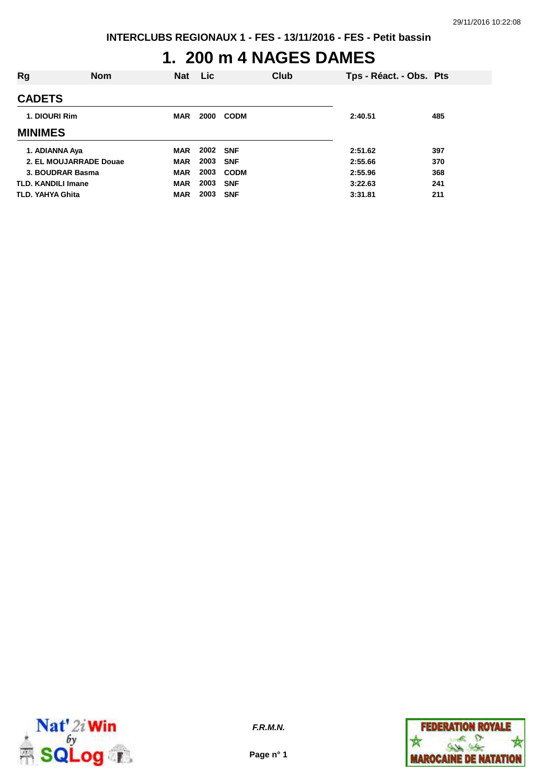# **1. 200 m 4 NAGES DAMES**

| Rg                        | <b>Nom</b> | <b>Nat</b> | <b>Lic</b> |             | Club | Tps - Réact. - Obs. Pts |     |
|---------------------------|------------|------------|------------|-------------|------|-------------------------|-----|
| <b>CADETS</b>             |            |            |            |             |      |                         |     |
| 1. DIOURI Rim             |            | <b>MAR</b> | 2000       | <b>CODM</b> |      | 2:40.51                 | 485 |
| <b>MINIMES</b>            |            |            |            |             |      |                         |     |
| 1. ADIANNA Aya            |            | <b>MAR</b> | 2002 SNF   |             |      | 2:51.62                 | 397 |
| 2. EL MOUJARRADE Douae    |            | <b>MAR</b> | 2003       | <b>SNF</b>  |      | 2:55.66                 | 370 |
| 3. BOUDRAR Basma          |            | <b>MAR</b> | 2003       | <b>CODM</b> |      | 2:55.96                 | 368 |
| <b>TLD. KANDILI Imane</b> |            | <b>MAR</b> | 2003       | <b>SNF</b>  |      | 3:22.63                 | 241 |
| TLD. YAHYA Ghita          |            | <b>MAR</b> | 2003       | <b>SNF</b>  |      | 3:31.81                 | 211 |



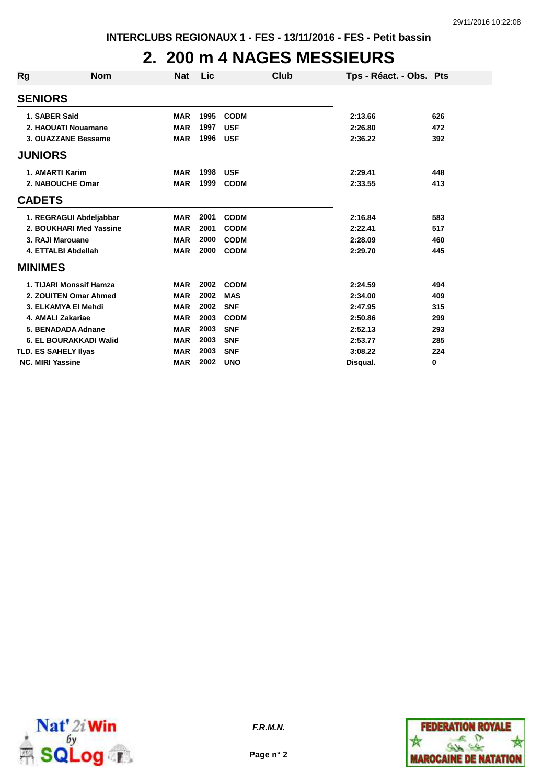### **2. 200 m 4 NAGES MESSIEURS**

| Rg                      | <b>Nom</b>                  | <b>Nat</b> | Lic  | Club        |          | Tps - Réact. - Obs. Pts |     |
|-------------------------|-----------------------------|------------|------|-------------|----------|-------------------------|-----|
| <b>SENIORS</b>          |                             |            |      |             |          |                         |     |
|                         | 1. SABER Said               | <b>MAR</b> | 1995 | <b>CODM</b> | 2:13.66  |                         | 626 |
|                         | 2. HAOUATI Nouamane         | <b>MAR</b> | 1997 | <b>USF</b>  | 2:26.80  |                         | 472 |
|                         | 3. OUAZZANE Bessame         | <b>MAR</b> | 1996 | <b>USF</b>  | 2:36.22  |                         | 392 |
| <b>JUNIORS</b>          |                             |            |      |             |          |                         |     |
|                         | 1. AMARTI Karim             | <b>MAR</b> | 1998 | <b>USF</b>  | 2:29.41  |                         | 448 |
|                         | 2. NABOUCHE Omar            | <b>MAR</b> | 1999 | <b>CODM</b> | 2:33.55  |                         | 413 |
| <b>CADETS</b>           |                             |            |      |             |          |                         |     |
|                         | 1. REGRAGUI Abdeljabbar     | <b>MAR</b> | 2001 | <b>CODM</b> | 2:16.84  |                         | 583 |
|                         | 2. BOUKHARI Med Yassine     | <b>MAR</b> | 2001 | <b>CODM</b> | 2:22.41  |                         | 517 |
|                         | 3. RAJI Marouane            | <b>MAR</b> | 2000 | <b>CODM</b> | 2:28.09  |                         | 460 |
|                         | 4. ETTALBI Abdellah         | <b>MAR</b> | 2000 | <b>CODM</b> | 2:29.70  |                         | 445 |
| <b>MINIMES</b>          |                             |            |      |             |          |                         |     |
|                         | 1. TIJARI Monssif Hamza     | <b>MAR</b> | 2002 | <b>CODM</b> | 2:24.59  |                         | 494 |
|                         | 2. ZOUITEN Omar Ahmed       | <b>MAR</b> | 2002 | <b>MAS</b>  | 2:34.00  |                         | 409 |
|                         | 3. ELKAMYA El Mehdi         | <b>MAR</b> | 2002 | <b>SNF</b>  | 2:47.95  |                         | 315 |
|                         | 4. AMALI Zakariae           | <b>MAR</b> | 2003 | <b>CODM</b> | 2:50.86  |                         | 299 |
|                         | 5. BENADADA Adnane          | <b>MAR</b> | 2003 | <b>SNF</b>  | 2:52.13  |                         | 293 |
|                         | 6. EL BOURAKKADI Walid      | <b>MAR</b> | 2003 | <b>SNF</b>  | 2:53.77  |                         | 285 |
|                         | <b>TLD. ES SAHELY Ilyas</b> | <b>MAR</b> | 2003 | <b>SNF</b>  | 3:08.22  |                         | 224 |
| <b>NC. MIRI Yassine</b> |                             | <b>MAR</b> | 2002 | <b>UNO</b>  | Disqual. |                         | 0   |



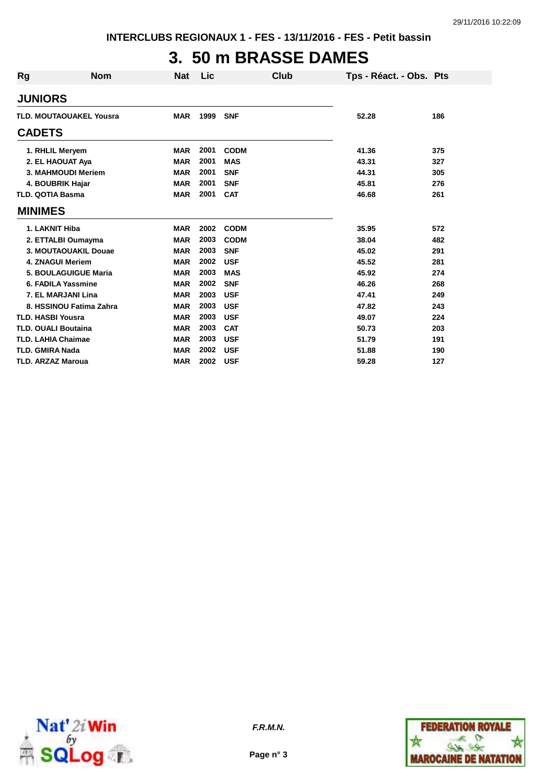# **3. 50 m BRASSE DAMES**

| <b>Rg</b>                  | <b>Nom</b>                     | <b>Nat</b> | Lic  | Club        | Tps - Réact. - Obs. Pts |     |
|----------------------------|--------------------------------|------------|------|-------------|-------------------------|-----|
| <b>JUNIORS</b>             |                                |            |      |             |                         |     |
|                            | <b>TLD. MOUTAOUAKEL Yousra</b> | <b>MAR</b> | 1999 | <b>SNF</b>  | 52.28                   | 186 |
| <b>CADETS</b>              |                                |            |      |             |                         |     |
|                            | 1. RHLIL Meryem                | <b>MAR</b> | 2001 | <b>CODM</b> | 41.36                   | 375 |
|                            | 2. EL HAOUAT Aya               | <b>MAR</b> | 2001 | <b>MAS</b>  | 43.31                   | 327 |
|                            | 3. MAHMOUDI Meriem             | <b>MAR</b> | 2001 | <b>SNF</b>  | 44.31                   | 305 |
|                            | 4. BOUBRIK Hajar               | <b>MAR</b> | 2001 | <b>SNF</b>  | 45.81                   | 276 |
| <b>TLD. QOTIA Basma</b>    |                                | <b>MAR</b> | 2001 | <b>CAT</b>  | 46.68                   | 261 |
| <b>MINIMES</b>             |                                |            |      |             |                         |     |
| 1. LAKNIT Hiba             |                                | <b>MAR</b> | 2002 | <b>CODM</b> | 35.95                   | 572 |
|                            | 2. ETTALBI Oumayma             | <b>MAR</b> | 2003 | <b>CODM</b> | 38.04                   | 482 |
|                            | 3. MOUTAOUAKIL Douae           | <b>MAR</b> | 2003 | <b>SNF</b>  | 45.02                   | 291 |
|                            | <b>4. ZNAGUI Meriem</b>        | <b>MAR</b> | 2002 | <b>USF</b>  | 45.52                   | 281 |
|                            | <b>5. BOULAGUIGUE Maria</b>    | <b>MAR</b> | 2003 | <b>MAS</b>  | 45.92                   | 274 |
|                            | 6. FADILA Yassmine             | <b>MAR</b> | 2002 | <b>SNF</b>  | 46.26                   | 268 |
|                            | 7. EL MARJANI Lina             | <b>MAR</b> | 2003 | <b>USF</b>  | 47.41                   | 249 |
|                            | 8. HSSINOU Fatima Zahra        | <b>MAR</b> | 2003 | <b>USF</b>  | 47.82                   | 243 |
| <b>TLD. HASBI Yousra</b>   |                                | <b>MAR</b> | 2003 | <b>USF</b>  | 49.07                   | 224 |
| <b>TLD. OUALI Boutaina</b> |                                | <b>MAR</b> | 2003 | <b>CAT</b>  | 50.73                   | 203 |
| <b>TLD. LAHIA Chaimae</b>  |                                | <b>MAR</b> | 2003 | <b>USF</b>  | 51.79                   | 191 |
| <b>TLD. GMIRA Nada</b>     |                                | <b>MAR</b> | 2002 | <b>USF</b>  | 51.88                   | 190 |
| <b>TLD. ARZAZ Maroua</b>   |                                | <b>MAR</b> | 2002 | <b>USF</b>  | 59.28                   | 127 |



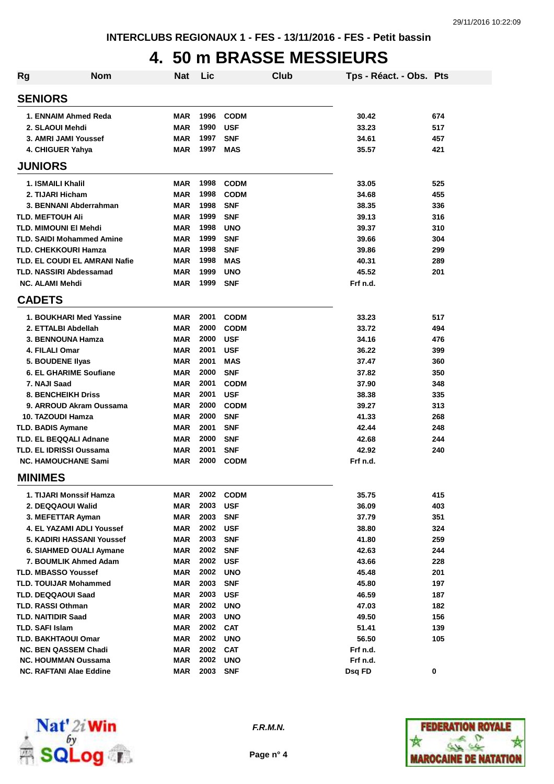### **4. 50 m BRASSE MESSIEURS**

| <b>Rg</b> | Nom                                  | Nat        | Lic  |             | Club | Tps - Réact. - Obs. Pts |     |
|-----------|--------------------------------------|------------|------|-------------|------|-------------------------|-----|
|           | <b>SENIORS</b>                       |            |      |             |      |                         |     |
|           | 1. ENNAIM Ahmed Reda                 | <b>MAR</b> | 1996 | <b>CODM</b> |      | 30.42                   | 674 |
|           | 2. SLAOUI Mehdi                      | <b>MAR</b> | 1990 | <b>USF</b>  |      | 33.23                   | 517 |
|           | 3. AMRI JAMI Youssef                 | <b>MAR</b> | 1997 | <b>SNF</b>  |      | 34.61                   | 457 |
|           | 4. CHIGUER Yahya                     | <b>MAR</b> | 1997 | MAS         |      | 35.57                   | 421 |
|           | <b>JUNIORS</b>                       |            |      |             |      |                         |     |
|           | 1. ISMAILI Khalil                    | <b>MAR</b> | 1998 | <b>CODM</b> |      | 33.05                   | 525 |
|           | 2. TIJARI Hicham                     | <b>MAR</b> | 1998 | <b>CODM</b> |      | 34.68                   | 455 |
|           | 3. BENNANI Abderrahman               | <b>MAR</b> | 1998 | <b>SNF</b>  |      | 38.35                   | 336 |
|           | <b>TLD. MEFTOUH AII</b>              | <b>MAR</b> | 1999 | <b>SNF</b>  |      | 39.13                   | 316 |
|           | <b>TLD. MIMOUNI EI Mehdi</b>         | <b>MAR</b> | 1998 | <b>UNO</b>  |      | 39.37                   | 310 |
|           | <b>TLD. SAIDI Mohammed Amine</b>     | <b>MAR</b> | 1999 | <b>SNF</b>  |      | 39.66                   | 304 |
|           | <b>TLD. CHEKKOURI Hamza</b>          | <b>MAR</b> | 1998 | <b>SNF</b>  |      | 39.86                   | 299 |
|           | <b>TLD. EL COUDI EL AMRANI Nafie</b> | <b>MAR</b> | 1998 | <b>MAS</b>  |      | 40.31                   | 289 |
|           | <b>TLD. NASSIRI Abdessamad</b>       | <b>MAR</b> | 1999 | <b>UNO</b>  |      | 45.52                   | 201 |
|           | <b>NC. ALAMI Mehdi</b>               | <b>MAR</b> | 1999 | <b>SNF</b>  |      | Frf n.d.                |     |
|           | <b>CADETS</b>                        |            |      |             |      |                         |     |
|           | 1. BOUKHARI Med Yassine              | <b>MAR</b> | 2001 | <b>CODM</b> |      | 33.23                   | 517 |
|           | 2. ETTALBI Abdellah                  | <b>MAR</b> | 2000 | <b>CODM</b> |      | 33.72                   | 494 |
|           | 3. BENNOUNA Hamza                    | <b>MAR</b> | 2000 | <b>USF</b>  |      | 34.16                   | 476 |
|           | 4. FILALI Omar                       | <b>MAR</b> | 2001 | <b>USF</b>  |      | 36.22                   | 399 |
|           | 5. BOUDENE Ilyas                     | <b>MAR</b> | 2001 | <b>MAS</b>  |      | 37.47                   | 360 |
|           | <b>6. EL GHARIME Soufiane</b>        | <b>MAR</b> | 2000 | <b>SNF</b>  |      | 37.82                   | 350 |
|           | 7. NAJI Saad                         | <b>MAR</b> | 2001 | <b>CODM</b> |      | 37.90                   | 348 |
|           | <b>8. BENCHEIKH Driss</b>            | <b>MAR</b> | 2001 | <b>USF</b>  |      | 38.38                   | 335 |
|           | 9. ARROUD Akram Oussama              | <b>MAR</b> | 2000 | <b>CODM</b> |      | 39.27                   | 313 |
|           | 10. TAZOUDI Hamza                    | <b>MAR</b> | 2000 | <b>SNF</b>  |      | 41.33                   | 268 |
|           | <b>TLD. BADIS Aymane</b>             | <b>MAR</b> | 2001 | <b>SNF</b>  |      | 42.44                   | 248 |
|           | <b>TLD. EL BEQQALI Adnane</b>        | <b>MAR</b> | 2000 | <b>SNF</b>  |      | 42.68                   | 244 |
|           | <b>TLD. EL IDRISSI Oussama</b>       | <b>MAR</b> | 2001 | <b>SNF</b>  |      | 42.92                   | 240 |
|           | <b>NC. HAMOUCHANE Sami</b>           | <b>MAR</b> | 2000 | <b>CODM</b> |      | Frf n.d.                |     |
|           | <b>MINIMES</b>                       |            |      |             |      |                         |     |
|           | 1. TIJARI Monssif Hamza              | MAR        | 2002 | <b>CODM</b> |      | 35.75                   | 415 |
|           | 2. DEQQAOUI Walid                    | <b>MAR</b> | 2003 | <b>USF</b>  |      | 36.09                   | 403 |
|           | 3. MEFETTAR Ayman                    | <b>MAR</b> | 2003 | <b>SNF</b>  |      | 37.79                   | 351 |
|           | <b>4. EL YAZAMI ADLI Youssef</b>     | <b>MAR</b> | 2002 | <b>USF</b>  |      | 38.80                   | 324 |
|           | 5. KADIRI HASSANI Youssef            | <b>MAR</b> | 2003 | <b>SNF</b>  |      | 41.80                   | 259 |
|           | 6. SIAHMED OUALI Aymane              | <b>MAR</b> | 2002 | <b>SNF</b>  |      | 42.63                   | 244 |
|           | 7. BOUMLIK Ahmed Adam                | <b>MAR</b> | 2002 | <b>USF</b>  |      | 43.66                   | 228 |
|           | <b>TLD. MBASSO Youssef</b>           | <b>MAR</b> | 2002 | <b>UNO</b>  |      | 45.48                   | 201 |
|           | <b>TLD. TOUIJAR Mohammed</b>         | <b>MAR</b> | 2003 | <b>SNF</b>  |      | 45.80                   | 197 |
|           | <b>TLD. DEQQAOUI Saad</b>            | <b>MAR</b> | 2003 | <b>USF</b>  |      | 46.59                   | 187 |
|           | <b>TLD. RASSI Othman</b>             | <b>MAR</b> | 2002 | <b>UNO</b>  |      | 47.03                   | 182 |
|           | <b>TLD. NAITIDIR Saad</b>            | <b>MAR</b> | 2003 | <b>UNO</b>  |      | 49.50                   | 156 |
|           | <b>TLD. SAFI Islam</b>               | <b>MAR</b> | 2002 | <b>CAT</b>  |      | 51.41                   | 139 |
|           | <b>TLD. BAKHTAOUI Omar</b>           | <b>MAR</b> | 2002 | <b>UNO</b>  |      | 56.50                   | 105 |
|           | <b>NC. BEN QASSEM Chadi</b>          | <b>MAR</b> | 2002 | <b>CAT</b>  |      | Frf n.d.                |     |
|           | <b>NC. HOUMMAN Oussama</b>           | <b>MAR</b> | 2002 | <b>UNO</b>  |      | Frf n.d.                |     |
|           | <b>NC. RAFTANI Alae Eddine</b>       | <b>MAR</b> | 2003 | <b>SNF</b>  |      | Dsq FD                  | 0   |



**F.R.M.N.**

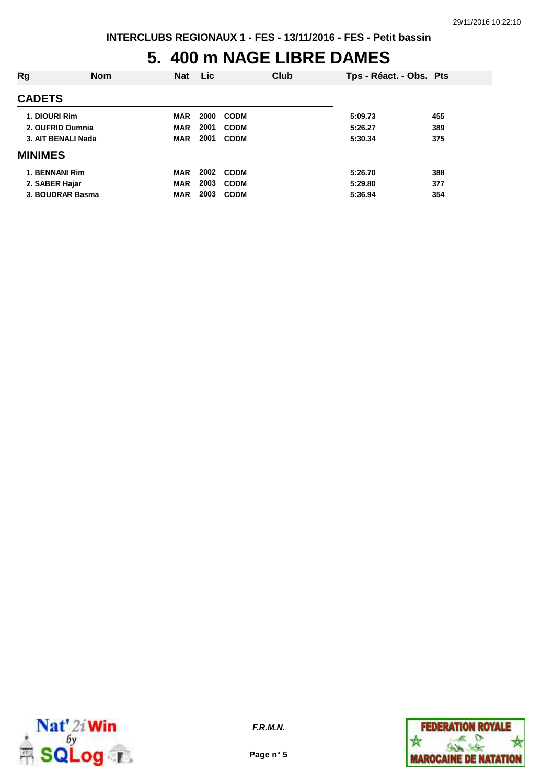### **5. 400 m NAGE LIBRE DAMES**

| Rg                 | <b>Nom</b> | <b>Nat</b> | <b>Lic</b> |             | Club | Tps - Réact. - Obs. Pts |     |
|--------------------|------------|------------|------------|-------------|------|-------------------------|-----|
| <b>CADETS</b>      |            |            |            |             |      |                         |     |
| 1. DIOURI Rim      |            | <b>MAR</b> | 2000       | <b>CODM</b> |      | 5:09.73                 | 455 |
| 2. OUFRID Oumnia   |            | <b>MAR</b> | 2001       | <b>CODM</b> |      | 5:26.27                 | 389 |
| 3. AIT BENALI Nada |            | <b>MAR</b> | 2001       | <b>CODM</b> |      | 5:30.34                 | 375 |
| <b>MINIMES</b>     |            |            |            |             |      |                         |     |
| 1. BENNANI Rim     |            | <b>MAR</b> | 2002       | <b>CODM</b> |      | 5:26.70                 | 388 |
| 2. SABER Hajar     |            | <b>MAR</b> | 2003       | <b>CODM</b> |      | 5:29.80                 | 377 |
| 3. BOUDRAR Basma   |            | <b>MAR</b> | 2003       | <b>CODM</b> |      | 5:36.94                 | 354 |



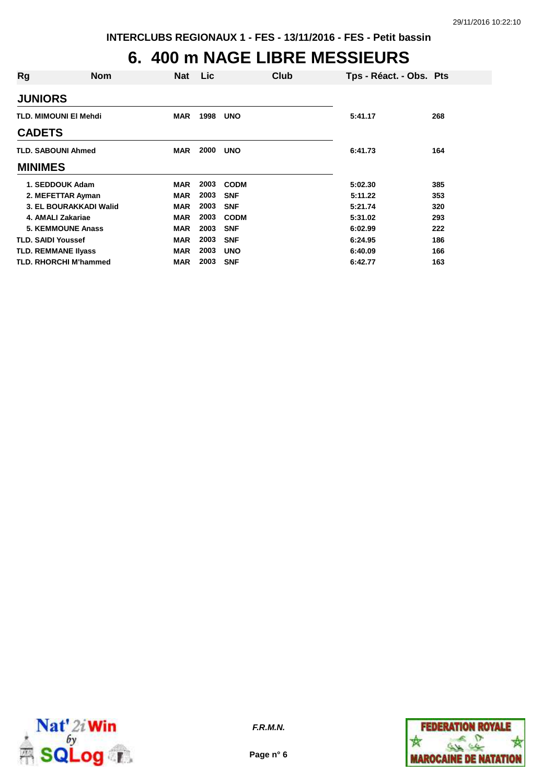# **6. 400 m NAGE LIBRE MESSIEURS**

| Rg                        | <b>Nom</b>                   | <b>Nat</b> | Lic  | Club        | Tps - Réact. - Obs. Pts |     |
|---------------------------|------------------------------|------------|------|-------------|-------------------------|-----|
| <b>JUNIORS</b>            |                              |            |      |             |                         |     |
|                           | <b>TLD. MIMOUNI EI Mehdi</b> | <b>MAR</b> | 1998 | <b>UNO</b>  | 5:41.17                 | 268 |
| <b>CADETS</b>             |                              |            |      |             |                         |     |
| <b>TLD. SABOUNI Ahmed</b> |                              | <b>MAR</b> | 2000 | <b>UNO</b>  | 6:41.73                 | 164 |
| <b>MINIMES</b>            |                              |            |      |             |                         |     |
|                           | 1. SEDDOUK Adam              | <b>MAR</b> | 2003 | <b>CODM</b> | 5:02.30                 | 385 |
|                           | 2. MEFETTAR Ayman            | <b>MAR</b> | 2003 | <b>SNF</b>  | 5:11.22                 | 353 |
|                           | 3. EL BOURAKKADI Walid       | <b>MAR</b> | 2003 | <b>SNF</b>  | 5:21.74                 | 320 |
| 4. AMALI Zakariae         |                              | <b>MAR</b> | 2003 | <b>CODM</b> | 5:31.02                 | 293 |
|                           | <b>5. KEMMOUNE Anass</b>     | <b>MAR</b> | 2003 | <b>SNF</b>  | 6:02.99                 | 222 |
| <b>TLD. SAIDI Youssef</b> |                              | <b>MAR</b> | 2003 | <b>SNF</b>  | 6:24.95                 | 186 |
| TLD. REMMANE IIyass       |                              | <b>MAR</b> | 2003 | <b>UNO</b>  | 6:40.09                 | 166 |
|                           | <b>TLD. RHORCHI M'hammed</b> | <b>MAR</b> | 2003 | <b>SNF</b>  | 6:42.77                 | 163 |



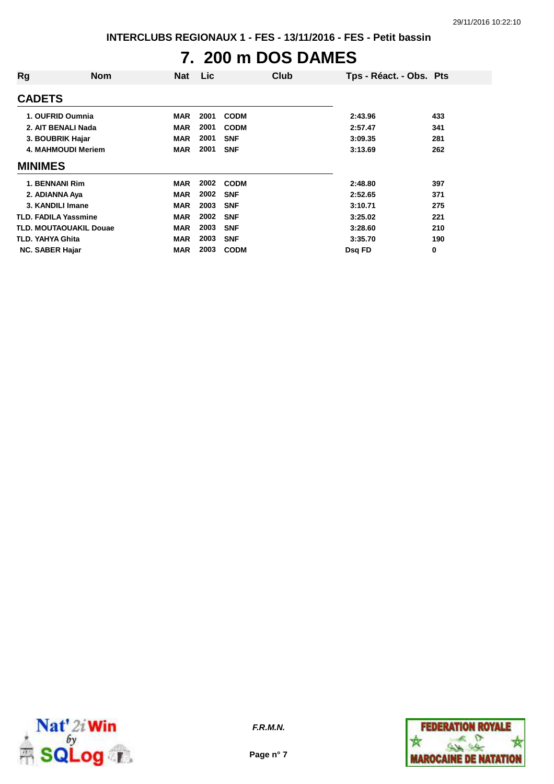# **7. 200 m DOS DAMES**

| Rg                          | <b>Nom</b>                    | <b>Nat</b> | Lic  | Club        |         | Tps - Réact. - Obs. Pts |
|-----------------------------|-------------------------------|------------|------|-------------|---------|-------------------------|
| <b>CADETS</b>               |                               |            |      |             |         |                         |
| 1. OUFRID Oumnia            |                               | <b>MAR</b> | 2001 | <b>CODM</b> | 2:43.96 | 433                     |
|                             | 2. AIT BENALI Nada            | <b>MAR</b> | 2001 | <b>CODM</b> | 2:57.47 | 341                     |
| 3. BOUBRIK Hajar            |                               | <b>MAR</b> | 2001 | <b>SNF</b>  | 3:09.35 | 281                     |
|                             | <b>4. MAHMOUDI Meriem</b>     | <b>MAR</b> | 2001 | <b>SNF</b>  | 3:13.69 | 262                     |
| <b>MINIMES</b>              |                               |            |      |             |         |                         |
| 1. BENNANI Rim              |                               | <b>MAR</b> | 2002 | <b>CODM</b> | 2:48.80 | 397                     |
| 2. ADIANNA Aya              |                               | <b>MAR</b> | 2002 | <b>SNF</b>  | 2:52.65 | 371                     |
| 3. KANDILI Imane            |                               | <b>MAR</b> | 2003 | <b>SNF</b>  | 3:10.71 | 275                     |
| <b>TLD. FADILA Yassmine</b> |                               | <b>MAR</b> | 2002 | <b>SNF</b>  | 3:25.02 | 221                     |
|                             | <b>TLD. MOUTAOUAKIL Douae</b> | <b>MAR</b> | 2003 | <b>SNF</b>  | 3:28.60 | 210                     |
| <b>TLD. YAHYA Ghita</b>     |                               | <b>MAR</b> | 2003 | <b>SNF</b>  | 3:35.70 | 190                     |
| <b>NC. SABER Hajar</b>      |                               | <b>MAR</b> | 2003 | <b>CODM</b> | Dsg FD  | 0                       |



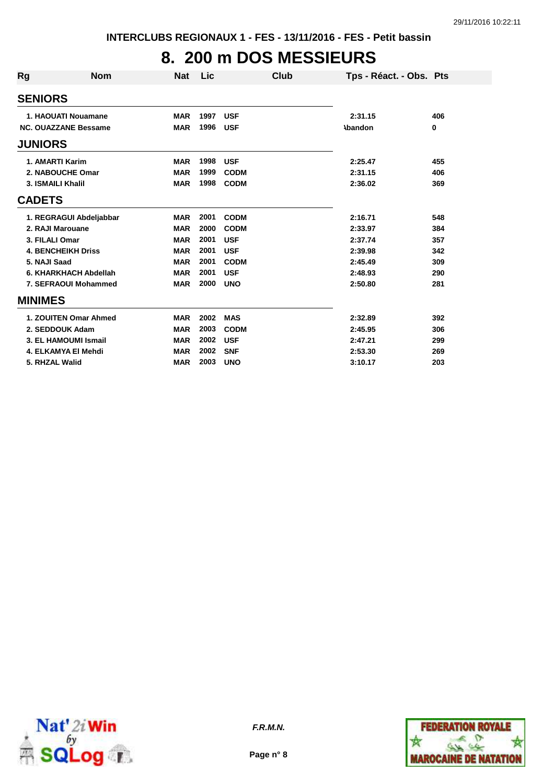# **8. 200 m DOS MESSIEURS**

| Rg             | <b>Nom</b>                  | <b>Nat</b> | Lic  |             | Club | Tps - Réact. - Obs. Pts |     |
|----------------|-----------------------------|------------|------|-------------|------|-------------------------|-----|
| <b>SENIORS</b> |                             |            |      |             |      |                         |     |
|                | 1. HAOUATI Nouamane         | <b>MAR</b> | 1997 | <b>USF</b>  |      | 2:31.15                 | 406 |
|                | <b>NC. OUAZZANE Bessame</b> | <b>MAR</b> | 1996 | <b>USF</b>  |      | <b>\bandon</b>          | 0   |
| <b>JUNIORS</b> |                             |            |      |             |      |                         |     |
|                | 1. AMARTI Karim             | <b>MAR</b> | 1998 | <b>USF</b>  |      | 2:25.47                 | 455 |
|                | 2. NABOUCHE Omar            | <b>MAR</b> | 1999 | <b>CODM</b> |      | 2:31.15                 | 406 |
|                | 3. ISMAILI Khalil           | <b>MAR</b> | 1998 | <b>CODM</b> |      | 2:36.02                 | 369 |
| <b>CADETS</b>  |                             |            |      |             |      |                         |     |
|                | 1. REGRAGUI Abdeljabbar     | <b>MAR</b> | 2001 | <b>CODM</b> |      | 2:16.71                 | 548 |
|                | 2. RAJI Marouane            | <b>MAR</b> | 2000 | <b>CODM</b> |      | 2:33.97                 | 384 |
|                | 3. FILALI Omar              | <b>MAR</b> | 2001 | <b>USF</b>  |      | 2:37.74                 | 357 |
|                | <b>4. BENCHEIKH Driss</b>   | <b>MAR</b> | 2001 | <b>USF</b>  |      | 2:39.98                 | 342 |
|                | 5. NAJI Saad                | <b>MAR</b> | 2001 | <b>CODM</b> |      | 2:45.49                 | 309 |
|                | 6. KHARKHACH Abdellah       | <b>MAR</b> | 2001 | <b>USF</b>  |      | 2:48.93                 | 290 |
|                | 7. SEFRAOUI Mohammed        | <b>MAR</b> | 2000 | <b>UNO</b>  |      | 2:50.80                 | 281 |
| <b>MINIMES</b> |                             |            |      |             |      |                         |     |
|                | 1. ZOUITEN Omar Ahmed       | <b>MAR</b> | 2002 | <b>MAS</b>  |      | 2:32.89                 | 392 |
|                | 2. SEDDOUK Adam             | <b>MAR</b> | 2003 | <b>CODM</b> |      | 2:45.95                 | 306 |
|                | 3. EL HAMOUMI Ismail        | <b>MAR</b> | 2002 | <b>USF</b>  |      | 2:47.21                 | 299 |
|                | 4. ELKAMYA El Mehdi         | <b>MAR</b> | 2002 | <b>SNF</b>  |      | 2:53.30                 | 269 |
|                | 5. RHZAL Walid              | <b>MAR</b> | 2003 | <b>UNO</b>  |      | 3:10.17                 | 203 |



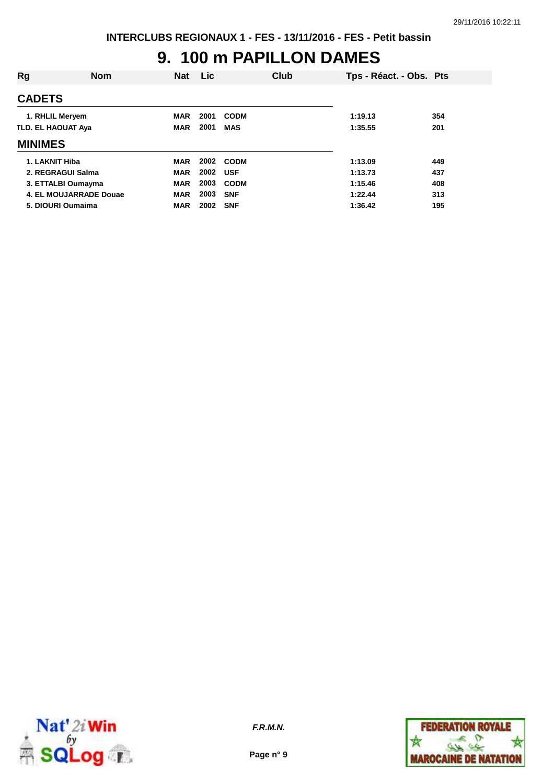#### **9. 100 m PAPILLON DAMES**

| Rg                        | <b>Nom</b>             | <b>Nat</b> | <b>Lic</b> | <b>Club</b> | Tps - Réact. - Obs. Pts |     |
|---------------------------|------------------------|------------|------------|-------------|-------------------------|-----|
| <b>CADETS</b>             |                        |            |            |             |                         |     |
| 1. RHLIL Meryem           |                        | <b>MAR</b> | 2001       | <b>CODM</b> | 1:19.13                 | 354 |
| <b>TLD. EL HAOUAT Aya</b> |                        | <b>MAR</b> | 2001       | <b>MAS</b>  | 1:35.55                 | 201 |
| <b>MINIMES</b>            |                        |            |            |             |                         |     |
| 1. LAKNIT Hiba            |                        | <b>MAR</b> | 2002       | <b>CODM</b> | 1:13.09                 | 449 |
|                           | 2. REGRAGUI Salma      | <b>MAR</b> | 2002       | <b>USF</b>  | 1:13.73                 | 437 |
|                           | 3. ETTALBI Oumayma     | <b>MAR</b> | 2003       | <b>CODM</b> | 1:15.46                 | 408 |
|                           | 4. EL MOUJARRADE Douae | <b>MAR</b> | 2003       | <b>SNF</b>  | 1:22.44                 | 313 |
|                           | 5. DIOURI Oumaima      | <b>MAR</b> | 2002       | <b>SNF</b>  | 1:36.42                 | 195 |



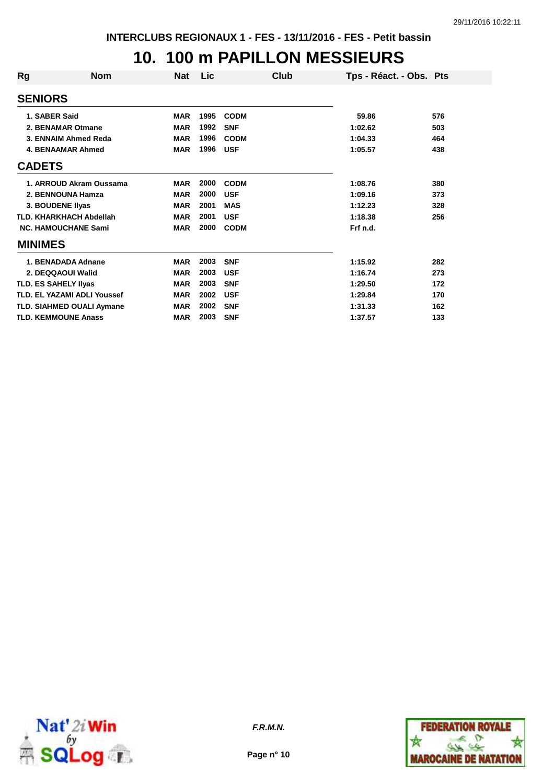#### **10. 100 m PAPILLON MESSIEURS**

| Rg                          | <b>Nom</b>                         | Nat        | Lic  | Club        | Tps - Réact. - Obs. Pts |     |
|-----------------------------|------------------------------------|------------|------|-------------|-------------------------|-----|
| <b>SENIORS</b>              |                                    |            |      |             |                         |     |
| 1. SABER Said               |                                    | <b>MAR</b> | 1995 | <b>CODM</b> | 59.86                   | 576 |
|                             | 2. BENAMAR Otmane                  | <b>MAR</b> | 1992 | <b>SNF</b>  | 1:02.62                 | 503 |
|                             | 3. ENNAIM Ahmed Reda               | <b>MAR</b> | 1996 | <b>CODM</b> | 1:04.33                 | 464 |
|                             | <b>4. BENAAMAR Ahmed</b>           | <b>MAR</b> | 1996 | <b>USF</b>  | 1:05.57                 | 438 |
| <b>CADETS</b>               |                                    |            |      |             |                         |     |
|                             | 1. ARROUD Akram Oussama            | <b>MAR</b> | 2000 | <b>CODM</b> | 1:08.76                 | 380 |
|                             | 2. BENNOUNA Hamza                  | <b>MAR</b> | 2000 | <b>USF</b>  | 1:09.16                 | 373 |
| 3. BOUDENE Ilyas            |                                    | <b>MAR</b> | 2001 | <b>MAS</b>  | 1:12.23                 | 328 |
|                             | <b>TLD. KHARKHACH Abdellah</b>     | <b>MAR</b> | 2001 | <b>USF</b>  | 1:18.38                 | 256 |
|                             | <b>NC. HAMOUCHANE Sami</b>         | <b>MAR</b> | 2000 | <b>CODM</b> | Frf n.d.                |     |
| <b>MINIMES</b>              |                                    |            |      |             |                         |     |
|                             | 1. BENADADA Adnane                 | <b>MAR</b> | 2003 | <b>SNF</b>  | 1:15.92                 | 282 |
|                             | 2. DEQQAOUI Walid                  | <b>MAR</b> | 2003 | <b>USF</b>  | 1:16.74                 | 273 |
| <b>TLD. ES SAHELY IIvas</b> |                                    | <b>MAR</b> | 2003 | <b>SNF</b>  | 1:29.50                 | 172 |
|                             | <b>TLD. EL YAZAMI ADLI Youssef</b> | <b>MAR</b> | 2002 | <b>USF</b>  | 1:29.84                 | 170 |
|                             | TLD. SIAHMED OUALI Aymane          | <b>MAR</b> | 2002 | <b>SNF</b>  | 1:31.33                 | 162 |
|                             | <b>TLD. KEMMOUNE Anass</b>         | <b>MAR</b> | 2003 | <b>SNF</b>  | 1:37.57                 | 133 |



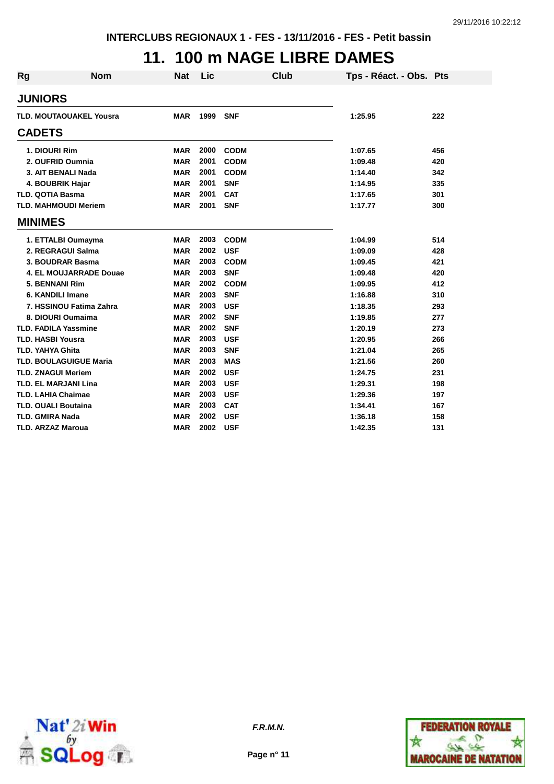# **11. 100 m NAGE LIBRE DAMES**

| <b>Rg</b>      | <b>Nom</b>                     | <b>Nat</b> | Lic      |             | Club | Tps - Réact. - Obs. Pts |     |
|----------------|--------------------------------|------------|----------|-------------|------|-------------------------|-----|
| <b>JUNIORS</b> |                                |            |          |             |      |                         |     |
|                | <b>TLD. MOUTAOUAKEL Yousra</b> | <b>MAR</b> | 1999 SNF |             |      | 1:25.95                 | 222 |
| <b>CADETS</b>  |                                |            |          |             |      |                         |     |
|                | 1. DIOURI Rim                  | <b>MAR</b> | 2000     | <b>CODM</b> |      | 1:07.65                 | 456 |
|                | 2. OUFRID Oumnia               | <b>MAR</b> | 2001     | <b>CODM</b> |      | 1:09.48                 | 420 |
|                | 3. AIT BENALI Nada             | <b>MAR</b> | 2001     | <b>CODM</b> |      | 1:14.40                 | 342 |
|                | 4. BOUBRIK Hajar               | <b>MAR</b> | 2001     | <b>SNF</b>  |      | 1:14.95                 | 335 |
|                | <b>TLD. QOTIA Basma</b>        | <b>MAR</b> | 2001     | <b>CAT</b>  |      | 1:17.65                 | 301 |
|                | <b>TLD. MAHMOUDI Meriem</b>    | <b>MAR</b> | 2001     | <b>SNF</b>  |      | 1:17.77                 | 300 |
| <b>MINIMES</b> |                                |            |          |             |      |                         |     |
|                | 1. ETTALBI Oumayma             | <b>MAR</b> | 2003     | <b>CODM</b> |      | 1:04.99                 | 514 |
|                | 2. REGRAGUI Salma              | <b>MAR</b> | 2002     | <b>USF</b>  |      | 1:09.09                 | 428 |
|                | 3. BOUDRAR Basma               | <b>MAR</b> | 2003     | <b>CODM</b> |      | 1:09.45                 | 421 |
|                | 4. EL MOUJARRADE Douae         | <b>MAR</b> | 2003     | <b>SNF</b>  |      | 1:09.48                 | 420 |
|                | 5. BENNANI Rim                 | <b>MAR</b> | 2002     | <b>CODM</b> |      | 1:09.95                 | 412 |
|                | 6. KANDILI Imane               | <b>MAR</b> | 2003     | <b>SNF</b>  |      | 1:16.88                 | 310 |
|                | 7. HSSINOU Fatima Zahra        | <b>MAR</b> | 2003     | <b>USF</b>  |      | 1:18.35                 | 293 |
|                | 8. DIOURI Oumaima              | <b>MAR</b> | 2002     | <b>SNF</b>  |      | 1:19.85                 | 277 |
|                | <b>TLD. FADILA Yassmine</b>    | <b>MAR</b> | 2002     | <b>SNF</b>  |      | 1:20.19                 | 273 |
|                | <b>TLD. HASBI Yousra</b>       | <b>MAR</b> | 2003     | <b>USF</b>  |      | 1:20.95                 | 266 |
|                | <b>TLD. YAHYA Ghita</b>        | <b>MAR</b> | 2003     | <b>SNF</b>  |      | 1:21.04                 | 265 |
|                | <b>TLD. BOULAGUIGUE Maria</b>  | <b>MAR</b> | 2003     | <b>MAS</b>  |      | 1:21.56                 | 260 |
|                | <b>TLD. ZNAGUI Meriem</b>      | <b>MAR</b> | 2002     | <b>USF</b>  |      | 1:24.75                 | 231 |
|                | <b>TLD. EL MARJANI Lina</b>    | <b>MAR</b> | 2003     | <b>USF</b>  |      | 1:29.31                 | 198 |
|                | <b>TLD. LAHIA Chaimae</b>      | <b>MAR</b> | 2003     | <b>USF</b>  |      | 1:29.36                 | 197 |
|                | <b>TLD. OUALI Boutaina</b>     | <b>MAR</b> | 2003     | <b>CAT</b>  |      | 1:34.41                 | 167 |
|                | <b>TLD. GMIRA Nada</b>         | <b>MAR</b> | 2002     | <b>USF</b>  |      | 1:36.18                 | 158 |
|                | <b>TLD. ARZAZ Maroua</b>       | <b>MAR</b> | 2002     | <b>USF</b>  |      | 1:42.35                 | 131 |



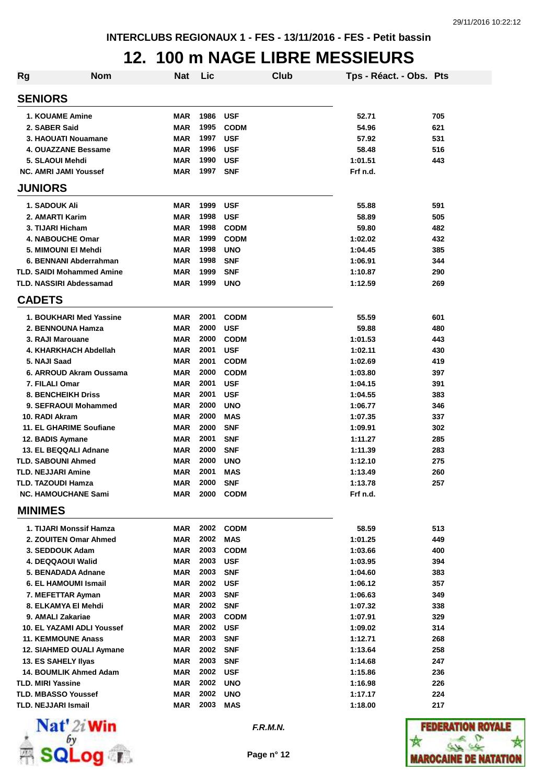#### **12. 100 m NAGE LIBRE MESSIEURS**

| <b>Rg</b> | <b>Nom</b>                                       | <b>Nat</b> | Lic          |                           | Club | Tps - Réact. - Obs. Pts |     |
|-----------|--------------------------------------------------|------------|--------------|---------------------------|------|-------------------------|-----|
|           | <b>SENIORS</b>                                   |            |              |                           |      |                         |     |
|           | <b>1. KOUAME Amine</b>                           | <b>MAR</b> | 1986         | <b>USF</b>                |      | 52.71                   | 705 |
|           | 2. SABER Said                                    | <b>MAR</b> | 1995         | <b>CODM</b>               |      | 54.96                   | 621 |
|           | 3. HAOUATI Nouamane                              | <b>MAR</b> | 1997         | <b>USF</b>                |      | 57.92                   | 531 |
|           | 4. OUAZZANE Bessame                              | <b>MAR</b> | 1996         | <b>USF</b>                |      | 58.48                   | 516 |
|           | 5. SLAOUI Mehdi                                  | <b>MAR</b> | 1990         | <b>USF</b>                |      | 1:01.51                 | 443 |
|           | <b>NC. AMRI JAMI Youssef</b>                     | MAR        | 1997         | <b>SNF</b>                |      | Frf n.d.                |     |
|           | <b>JUNIORS</b>                                   |            |              |                           |      |                         |     |
|           | 1. SADOUK Ali                                    | <b>MAR</b> | 1999         | <b>USF</b>                |      | 55.88                   | 591 |
|           | 2. AMARTI Karim                                  | <b>MAR</b> | 1998         | <b>USF</b>                |      | 58.89                   | 505 |
|           | 3. TIJARI Hicham                                 | <b>MAR</b> | 1998         | <b>CODM</b>               |      | 59.80                   | 482 |
|           | 4. NABOUCHE Omar                                 | <b>MAR</b> | 1999         | <b>CODM</b>               |      | 1:02.02                 | 432 |
|           | 5. MIMOUNI EI Mehdi                              | <b>MAR</b> | 1998         | <b>UNO</b>                |      | 1:04.45                 | 385 |
|           | 6. BENNANI Abderrahman                           | <b>MAR</b> | 1998         | <b>SNF</b>                |      | 1:06.91                 | 344 |
|           | <b>TLD. SAIDI Mohammed Amine</b>                 | <b>MAR</b> | 1999         | <b>SNF</b>                |      | 1:10.87                 | 290 |
|           | <b>TLD. NASSIRI Abdessamad</b>                   | MAR        | 1999         | <b>UNO</b>                |      | 1:12.59                 | 269 |
|           | <b>CADETS</b>                                    |            |              |                           |      |                         |     |
|           | 1. BOUKHARI Med Yassine                          | <b>MAR</b> | 2001         | <b>CODM</b>               |      | 55.59                   | 601 |
|           | 2. BENNOUNA Hamza                                | <b>MAR</b> | 2000         | <b>USF</b>                |      | 59.88                   | 480 |
|           | 3. RAJI Marouane                                 | <b>MAR</b> | 2000         | <b>CODM</b>               |      | 1:01.53                 | 443 |
|           | 4. KHARKHACH Abdellah                            | <b>MAR</b> | 2001         | <b>USF</b>                |      | 1:02.11                 | 430 |
|           | 5. NAJI Saad                                     | <b>MAR</b> | 2001         | <b>CODM</b>               |      | 1:02.69                 | 419 |
|           | 6. ARROUD Akram Oussama                          | <b>MAR</b> | 2000         | <b>CODM</b>               |      | 1:03.80                 | 397 |
|           | 7. FILALI Omar                                   | <b>MAR</b> | 2001         | <b>USF</b>                |      | 1:04.15                 | 391 |
|           | <b>8. BENCHEIKH Driss</b>                        | <b>MAR</b> | 2001         | <b>USF</b>                |      | 1:04.55                 | 383 |
|           | 9. SEFRAOUI Mohammed                             | <b>MAR</b> | 2000         | <b>UNO</b>                |      | 1:06.77                 | 346 |
|           | 10. RADI Akram                                   | <b>MAR</b> | 2000         | <b>MAS</b>                |      | 1:07.35                 | 337 |
|           | 11. EL GHARIME Soufiane                          | <b>MAR</b> | 2000         | <b>SNF</b>                |      | 1:09.91                 | 302 |
|           | 12. BADIS Aymane                                 | <b>MAR</b> | 2001         | <b>SNF</b>                |      | 1:11.27                 | 285 |
|           | 13. EL BEQQALI Adnane                            | <b>MAR</b> | 2000         | <b>SNF</b>                |      | 1:11.39                 | 283 |
|           | <b>TLD. SABOUNI Ahmed</b>                        | <b>MAR</b> | 2000         | <b>UNO</b>                |      | 1:12.10                 | 275 |
|           | <b>TLD. NEJJARI Amine</b>                        | <b>MAR</b> | 2001         | <b>MAS</b>                |      | 1:13.49                 | 260 |
|           | TLD. TAZOUDI Hamza<br><b>NC. HAMOUCHANE Sami</b> | <b>MAR</b> | 2000<br>2000 | <b>SNF</b><br><b>CODM</b> |      | 1:13.78<br>Frf n.d.     | 257 |
|           | <b>MINIMES</b>                                   | MAR        |              |                           |      |                         |     |
|           | 1. TIJARI Monssif Hamza                          | <b>MAR</b> | 2002         | <b>CODM</b>               |      | 58.59                   | 513 |
|           | 2. ZOUITEN Omar Ahmed                            | <b>MAR</b> | 2002         | <b>MAS</b>                |      | 1:01.25                 | 449 |
|           | 3. SEDDOUK Adam                                  | <b>MAR</b> | 2003         | <b>CODM</b>               |      | 1:03.66                 | 400 |
|           | 4. DEQQAOUI Walid                                | <b>MAR</b> | 2003         | <b>USF</b>                |      | 1:03.95                 | 394 |
|           | 5. BENADADA Adnane                               | <b>MAR</b> | 2003         | <b>SNF</b>                |      | 1:04.60                 | 383 |
|           | 6. EL HAMOUMI Ismail                             | <b>MAR</b> | 2002         | <b>USF</b>                |      | 1:06.12                 | 357 |
|           | 7. MEFETTAR Ayman                                | <b>MAR</b> | 2003         | <b>SNF</b>                |      | 1:06.63                 | 349 |
|           | 8. ELKAMYA El Mehdi                              | <b>MAR</b> | 2002         | <b>SNF</b>                |      | 1:07.32                 | 338 |
|           | 9. AMALI Zakariae                                | <b>MAR</b> | 2003         | <b>CODM</b>               |      | 1:07.91                 | 329 |
|           | <b>10. EL YAZAMI ADLI Youssef</b>                | <b>MAR</b> | 2002         | <b>USF</b>                |      | 1:09.02                 | 314 |
|           | <b>11. KEMMOUNE Anass</b>                        | <b>MAR</b> | 2003         | <b>SNF</b>                |      | 1:12.71                 | 268 |
|           | 12. SIAHMED OUALI Aymane                         | <b>MAR</b> | 2002         | <b>SNF</b>                |      | 1:13.64                 | 258 |
|           | 13. ES SAHELY Ilyas                              | <b>MAR</b> | 2003         | <b>SNF</b>                |      | 1:14.68                 | 247 |
|           | 14. BOUMLIK Ahmed Adam                           | <b>MAR</b> | 2002         | <b>USF</b>                |      | 1:15.86                 | 236 |
|           | <b>TLD. MIRI Yassine</b>                         | <b>MAR</b> | 2002         | <b>UNO</b>                |      | 1:16.98                 | 226 |
|           | <b>TLD. MBASSO Youssef</b>                       | <b>MAR</b> | 2002         | <b>UNO</b>                |      | 1:17.17                 | 224 |
|           | TLD. NEJJARI Ismail                              | MAR        | 2003         | <b>MAS</b>                |      | 1:18.00                 | 217 |



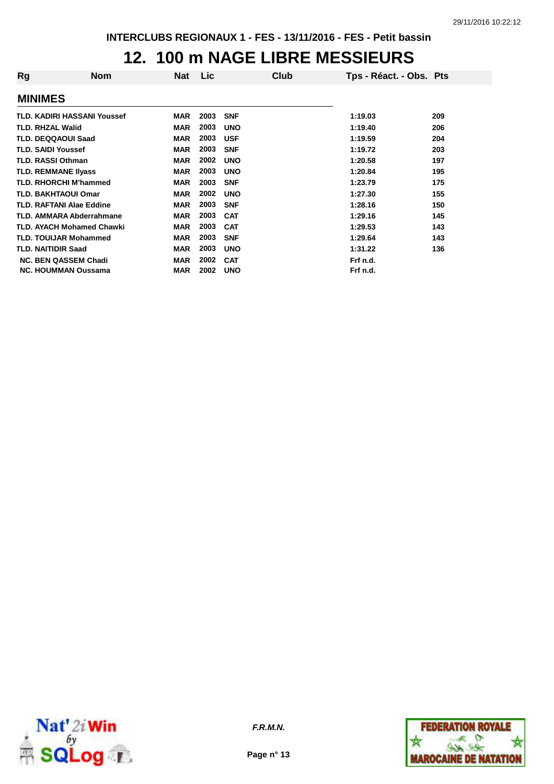#### **12. 100 m NAGE LIBRE MESSIEURS**

| Rg                         | <b>Nom</b>                         | Nat        | <b>Lic</b> | Club       | Tps - Réact. - Obs. Pts |     |
|----------------------------|------------------------------------|------------|------------|------------|-------------------------|-----|
| <b>MINIMES</b>             |                                    |            |            |            |                         |     |
|                            | <b>TLD. KADIRI HASSANI Youssef</b> | <b>MAR</b> | 2003       | <b>SNF</b> | 1:19.03                 | 209 |
| <b>TLD. RHZAL Walid</b>    |                                    | <b>MAR</b> | 2003       | <b>UNO</b> | 1:19.40                 | 206 |
| <b>TLD. DEQQAOUI Saad</b>  |                                    | <b>MAR</b> | 2003       | <b>USF</b> | 1:19.59                 | 204 |
| <b>TLD. SAIDI Youssef</b>  |                                    | <b>MAR</b> | 2003       | <b>SNF</b> | 1:19.72                 | 203 |
| <b>TLD. RASSI Othman</b>   |                                    | <b>MAR</b> | 2002       | <b>UNO</b> | 1:20.58                 | 197 |
| <b>TLD. REMMANE IIvass</b> |                                    | <b>MAR</b> | 2003       | <b>UNO</b> | 1:20.84                 | 195 |
|                            | <b>TLD. RHORCHI M'hammed</b>       | <b>MAR</b> | 2003       | <b>SNF</b> | 1:23.79                 | 175 |
| <b>TLD. BAKHTAOUI Omar</b> |                                    | <b>MAR</b> | 2002       | <b>UNO</b> | 1:27.30                 | 155 |
|                            | <b>TLD. RAFTANI Alae Eddine</b>    | <b>MAR</b> | 2003       | <b>SNF</b> | 1:28.16                 | 150 |
|                            | <b>TLD. AMMARA Abderrahmane</b>    | <b>MAR</b> | 2003       | <b>CAT</b> | 1:29.16                 | 145 |
|                            | <b>TLD. AYACH Mohamed Chawki</b>   | <b>MAR</b> | 2003       | <b>CAT</b> | 1:29.53                 | 143 |
|                            | <b>TLD. TOUIJAR Mohammed</b>       | <b>MAR</b> | 2003       | <b>SNF</b> | 1:29.64                 | 143 |
| <b>TLD. NAITIDIR Saad</b>  |                                    | <b>MAR</b> | 2003       | <b>UNO</b> | 1:31.22                 | 136 |
|                            | <b>NC. BEN QASSEM Chadi</b>        | <b>MAR</b> | 2002       | <b>CAT</b> | Frf n.d.                |     |
|                            | <b>NC. HOUMMAN Oussama</b>         | <b>MAR</b> | 2002       | <b>UNO</b> | Frf n.d.                |     |



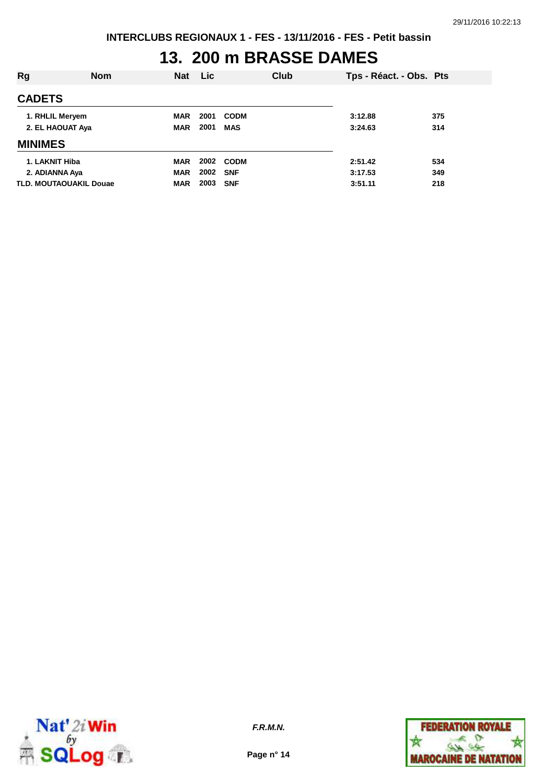# **13. 200 m BRASSE DAMES**

| Rg               | <b>Nom</b>                    | <b>Nat</b> | <b>Lic</b> | Club        | Tps - Réact. - Obs. Pts |     |
|------------------|-------------------------------|------------|------------|-------------|-------------------------|-----|
| <b>CADETS</b>    |                               |            |            |             |                         |     |
|                  | 1. RHLIL Meryem               | <b>MAR</b> | 2001       | <b>CODM</b> | 3:12.88                 | 375 |
| 2. EL HAOUAT Aya |                               | <b>MAR</b> | 2001       | <b>MAS</b>  | 3:24.63                 | 314 |
| <b>MINIMES</b>   |                               |            |            |             |                         |     |
| 1. LAKNIT Hiba   |                               | <b>MAR</b> | 2002       | <b>CODM</b> | 2:51.42                 | 534 |
| 2. ADIANNA Aya   |                               | <b>MAR</b> | 2002       | <b>SNF</b>  | 3:17.53                 | 349 |
|                  | <b>TLD. MOUTAOUAKIL Douae</b> | <b>MAR</b> | 2003       | <b>SNF</b>  | 3:51.11                 | 218 |



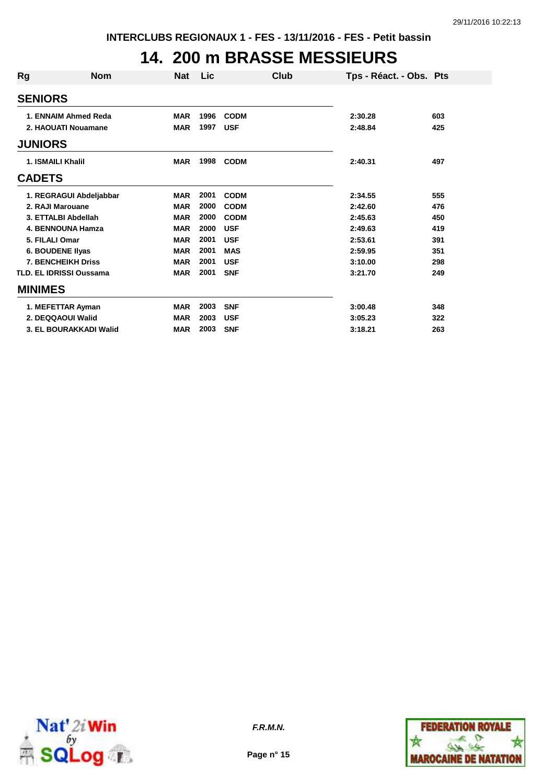### **14. 200 m BRASSE MESSIEURS**

| Rg             | <b>Nom</b>                     | <b>Nat</b> | <b>Lic</b> | Club        | Tps - Réact. - Obs. Pts |     |
|----------------|--------------------------------|------------|------------|-------------|-------------------------|-----|
| <b>SENIORS</b> |                                |            |            |             |                         |     |
|                | 1. ENNAIM Ahmed Reda           | <b>MAR</b> | 1996       | <b>CODM</b> | 2:30.28                 | 603 |
|                | 2. HAOUATI Nouamane            | <b>MAR</b> | 1997       | <b>USF</b>  | 2:48.84                 | 425 |
| <b>JUNIORS</b> |                                |            |            |             |                         |     |
|                | <b>1. ISMAILI Khalil</b>       | <b>MAR</b> | 1998       | <b>CODM</b> | 2:40.31                 | 497 |
| <b>CADETS</b>  |                                |            |            |             |                         |     |
|                | 1. REGRAGUI Abdeljabbar        | <b>MAR</b> | 2001       | <b>CODM</b> | 2:34.55                 | 555 |
|                | 2. RAJI Marouane               | <b>MAR</b> | 2000       | <b>CODM</b> | 2:42.60                 | 476 |
|                | 3. ETTALBI Abdellah            | <b>MAR</b> | 2000       | <b>CODM</b> | 2:45.63                 | 450 |
|                | <b>4. BENNOUNA Hamza</b>       | <b>MAR</b> | 2000       | <b>USF</b>  | 2:49.63                 | 419 |
|                | 5. FILALI Omar                 | <b>MAR</b> | 2001       | <b>USF</b>  | 2:53.61                 | 391 |
|                | <b>6. BOUDENE Ilyas</b>        | <b>MAR</b> | 2001       | <b>MAS</b>  | 2:59.95                 | 351 |
|                | <b>7. BENCHEIKH Driss</b>      | <b>MAR</b> | 2001       | <b>USF</b>  | 3:10.00                 | 298 |
|                | <b>TLD. EL IDRISSI Oussama</b> | <b>MAR</b> | 2001       | <b>SNF</b>  | 3:21.70                 | 249 |
| <b>MINIMES</b> |                                |            |            |             |                         |     |
|                | 1. MEFETTAR Ayman              | <b>MAR</b> | 2003       | <b>SNF</b>  | 3:00.48                 | 348 |
|                | 2. DEQQAOUI Walid              | <b>MAR</b> | 2003       | <b>USF</b>  | 3:05.23                 | 322 |
|                | 3. EL BOURAKKADI Walid         | <b>MAR</b> | 2003       | <b>SNF</b>  | 3:18.21                 | 263 |



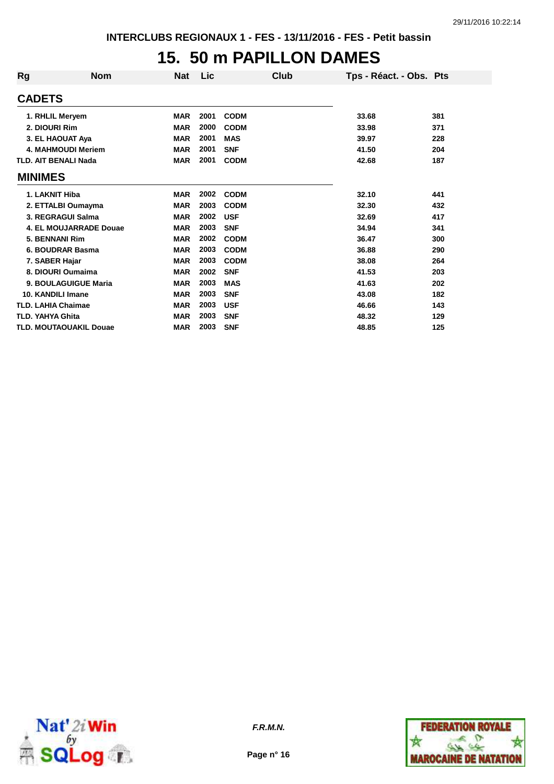#### **15. 50 m PAPILLON DAMES**

| Rg             | <b>Nom</b>                    | <b>Nat</b> | <b>Lic</b> | Club        | Tps - Réact. - Obs. Pts |     |
|----------------|-------------------------------|------------|------------|-------------|-------------------------|-----|
| <b>CADETS</b>  |                               |            |            |             |                         |     |
|                | 1. RHLIL Meryem               | <b>MAR</b> | 2001       | <b>CODM</b> | 33.68                   | 381 |
|                | 2. DIOURI Rim                 | <b>MAR</b> | 2000       | <b>CODM</b> | 33.98                   | 371 |
|                | 3. EL HAOUAT Aya              | <b>MAR</b> | 2001       | <b>MAS</b>  | 39.97                   | 228 |
|                | <b>4. MAHMOUDI Meriem</b>     | <b>MAR</b> | 2001       | <b>SNF</b>  | 41.50                   | 204 |
|                | <b>TLD. AIT BENALI Nada</b>   | <b>MAR</b> | 2001       | <b>CODM</b> | 42.68                   | 187 |
| <b>MINIMES</b> |                               |            |            |             |                         |     |
|                | 1. LAKNIT Hiba                | <b>MAR</b> | 2002       | <b>CODM</b> | 32.10                   | 441 |
|                | 2. ETTALBI Oumayma            | <b>MAR</b> | 2003       | <b>CODM</b> | 32.30                   | 432 |
|                | 3. REGRAGUI Salma             | <b>MAR</b> | 2002       | <b>USF</b>  | 32.69                   | 417 |
|                | 4. EL MOUJARRADE Douae        | <b>MAR</b> | 2003       | <b>SNF</b>  | 34.94                   | 341 |
|                | 5. BENNANI Rim                | <b>MAR</b> | 2002       | <b>CODM</b> | 36.47                   | 300 |
|                | 6. BOUDRAR Basma              | <b>MAR</b> | 2003       | <b>CODM</b> | 36.88                   | 290 |
|                | 7. SABER Hajar                | <b>MAR</b> | 2003       | <b>CODM</b> | 38.08                   | 264 |
|                | 8. DIOURI Oumaima             | <b>MAR</b> | 2002       | <b>SNF</b>  | 41.53                   | 203 |
|                | 9. BOULAGUIGUE Maria          | <b>MAR</b> | 2003       | <b>MAS</b>  | 41.63                   | 202 |
|                | 10. KANDILI Imane             | <b>MAR</b> | 2003       | <b>SNF</b>  | 43.08                   | 182 |
|                | <b>TLD. LAHIA Chaimae</b>     | <b>MAR</b> | 2003       | <b>USF</b>  | 46.66                   | 143 |
|                | <b>TLD. YAHYA Ghita</b>       | <b>MAR</b> | 2003       | <b>SNF</b>  | 48.32                   | 129 |
|                | <b>TLD. MOUTAOUAKIL Douae</b> | <b>MAR</b> | 2003       | <b>SNF</b>  | 48.85                   | 125 |



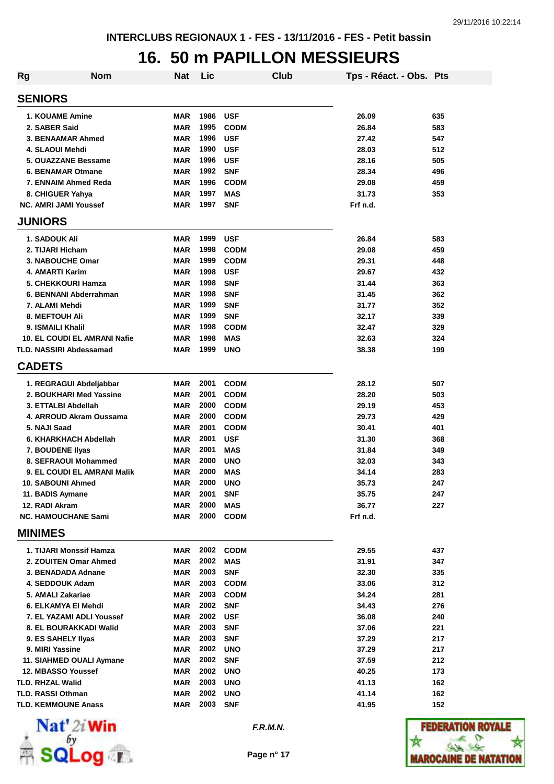# **16. 50 m PAPILLON MESSIEURS**

| <b>Rg</b> | <b>Nom</b>                          | Nat        | Lic      |             | <b>Club</b> | Tps - Réact. - Obs. Pts |     |
|-----------|-------------------------------------|------------|----------|-------------|-------------|-------------------------|-----|
|           | <b>SENIORS</b>                      |            |          |             |             |                         |     |
|           | <b>1. KOUAME Amine</b>              | <b>MAR</b> | 1986     | <b>USF</b>  |             | 26.09                   | 635 |
|           | 2. SABER Said                       | <b>MAR</b> | 1995     | <b>CODM</b> |             | 26.84                   | 583 |
|           | 3. BENAAMAR Ahmed                   | <b>MAR</b> | 1996     | <b>USF</b>  |             | 27.42                   | 547 |
|           | 4. SLAOUI Mehdi                     | <b>MAR</b> | 1990     | <b>USF</b>  |             | 28.03                   | 512 |
|           | 5. OUAZZANE Bessame                 | <b>MAR</b> | 1996     | <b>USF</b>  |             | 28.16                   | 505 |
|           | <b>6. BENAMAR Otmane</b>            | <b>MAR</b> | 1992     | <b>SNF</b>  |             | 28.34                   | 496 |
|           | 7. ENNAIM Ahmed Reda                | <b>MAR</b> | 1996     | <b>CODM</b> |             | 29.08                   | 459 |
|           | 8. CHIGUER Yahya                    | MAR        | 1997     | <b>MAS</b>  |             | 31.73                   | 353 |
|           | <b>NC. AMRI JAMI Youssef</b>        | <b>MAR</b> | 1997     | <b>SNF</b>  |             | Frf n.d.                |     |
|           | <b>JUNIORS</b>                      |            |          |             |             |                         |     |
|           | <b>1. SADOUK Ali</b>                | <b>MAR</b> | 1999     | <b>USF</b>  |             | 26.84                   | 583 |
|           | 2. TIJARI Hicham                    | MAR        | 1998     | <b>CODM</b> |             | 29.08                   | 459 |
|           | 3. NABOUCHE Omar                    | <b>MAR</b> | 1999     | <b>CODM</b> |             | 29.31                   | 448 |
|           | 4. AMARTI Karim                     | MAR        | 1998     | <b>USF</b>  |             | 29.67                   | 432 |
|           | 5. CHEKKOURI Hamza                  | <b>MAR</b> | 1998     | <b>SNF</b>  |             | 31.44                   | 363 |
|           | 6. BENNANI Abderrahman              | MAR        | 1998     | <b>SNF</b>  |             | 31.45                   | 362 |
|           | 7. ALAMI Mehdi                      | <b>MAR</b> | 1999     | <b>SNF</b>  |             | 31.77                   | 352 |
|           | <b>8. MEFTOUH Ali</b>               | MAR        | 1999     | <b>SNF</b>  |             | 32.17                   | 339 |
|           | 9. ISMAILI Khalil                   | <b>MAR</b> | 1998     | <b>CODM</b> |             | 32.47                   | 329 |
|           | <b>10. EL COUDI EL AMRANI Nafie</b> | <b>MAR</b> | 1998     | <b>MAS</b>  |             | 32.63                   | 324 |
|           | <b>TLD. NASSIRI Abdessamad</b>      | <b>MAR</b> | 1999     | <b>UNO</b>  |             | 38.38                   | 199 |
|           | <b>CADETS</b>                       |            |          |             |             |                         |     |
|           | 1. REGRAGUI Abdeljabbar             | MAR        | 2001     | <b>CODM</b> |             | 28.12                   | 507 |
|           | 2. BOUKHARI Med Yassine             | <b>MAR</b> | 2001     | <b>CODM</b> |             | 28.20                   | 503 |
|           | 3. ETTALBI Abdellah                 | MAR        | 2000     | <b>CODM</b> |             | 29.19                   | 453 |
|           | 4. ARROUD Akram Oussama             | <b>MAR</b> | 2000     | <b>CODM</b> |             | 29.73                   | 429 |
|           | 5. NAJI Saad                        | <b>MAR</b> | 2001     | <b>CODM</b> |             | 30.41                   | 401 |
|           | 6. KHARKHACH Abdellah               | <b>MAR</b> | 2001     | <b>USF</b>  |             | 31.30                   | 368 |
|           | 7. BOUDENE Ilyas                    | <b>MAR</b> | 2001     | <b>MAS</b>  |             | 31.84                   | 349 |
|           | 8. SEFRAOUI Mohammed                | <b>MAR</b> | 2000     | <b>UNO</b>  |             | 32.03                   | 343 |
|           | <b>9. EL COUDI EL AMRANI Malik</b>  | MAR        | 2000     | <b>MAS</b>  |             | 34.14                   | 283 |
|           | 10. SABOUNI Ahmed                   | <b>MAR</b> | 2000     | <b>UNO</b>  |             | 35.73                   | 247 |
|           | 11. BADIS Aymane                    | MAR        | 2001     | <b>SNF</b>  |             | 35.75                   | 247 |
|           | 12. RADI Akram                      | <b>MAR</b> | 2000     | MAS         |             | 36.77                   | 227 |
|           | <b>NC. HAMOUCHANE Sami</b>          | MAR        | 2000     | <b>CODM</b> |             | Frf n.d.                |     |
|           | <b>MINIMES</b>                      |            |          |             |             |                         |     |
|           | 1. TIJARI Monssif Hamza             | MAR        |          | 2002 CODM   |             | 29.55                   | 437 |
|           | 2. ZOUITEN Omar Ahmed               | MAR        | 2002     | <b>MAS</b>  |             | 31.91                   | 347 |
|           | 3. BENADADA Adnane                  | MAR        | 2003     | <b>SNF</b>  |             | 32.30                   | 335 |
|           | 4. SEDDOUK Adam                     | <b>MAR</b> | 2003     | <b>CODM</b> |             | 33.06                   | 312 |
|           | 5. AMALI Zakariae                   | <b>MAR</b> | 2003     | <b>CODM</b> |             | 34.24                   | 281 |
|           | 6. ELKAMYA EI Mehdi                 | MAR        | 2002     | <b>SNF</b>  |             | 34.43                   | 276 |
|           | 7. EL YAZAMI ADLI Youssef           | <b>MAR</b> | 2002     | <b>USF</b>  |             | 36.08                   | 240 |
|           | 8. EL BOURAKKADI Walid              | <b>MAR</b> | 2003     | <b>SNF</b>  |             | 37.06                   | 221 |
|           | 9. ES SAHELY Ilyas                  | <b>MAR</b> | 2003     | <b>SNF</b>  |             | 37.29                   | 217 |
|           | 9. MIRI Yassine                     | MAR        | 2002     | <b>UNO</b>  |             | 37.29                   | 217 |
|           | 11. SIAHMED OUALI Aymane            | <b>MAR</b> | 2002     | <b>SNF</b>  |             | 37.59                   | 212 |
|           | 12. MBASSO Youssef                  | MAR        | 2002 UNO |             |             | 40.25                   | 173 |
|           | <b>TLD. RHZAL Walid</b>             | MAR        | 2003     | <b>UNO</b>  |             | 41.13                   | 162 |
|           | TLD. RASSI Othman                   | <b>MAR</b> | 2002     | <b>UNO</b>  |             | 41.14                   | 162 |
|           | <b>TLD. KEMMOUNE Anass</b>          | <b>MAR</b> | 2003     | <b>SNF</b>  |             | 41.95                   | 152 |



**F.R.M.N.**

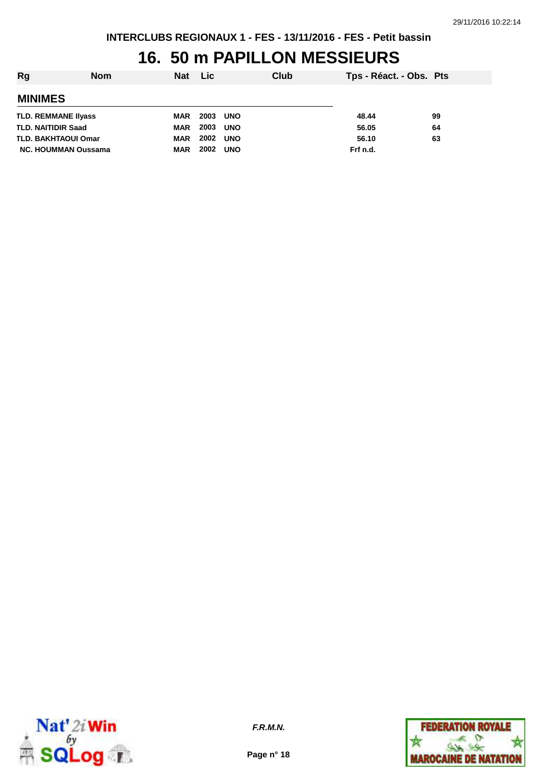# **16. 50 m PAPILLON MESSIEURS**

| Rg                         | <b>Nom</b> | <b>Nat</b> | Lic  |            | Club | Tps - Réact. - Obs. Pts |    |
|----------------------------|------------|------------|------|------------|------|-------------------------|----|
| <b>MINIMES</b>             |            |            |      |            |      |                         |    |
| <b>TLD. REMMANE Ilyass</b> |            | <b>MAR</b> | 2003 | <b>UNO</b> |      | 48.44                   | 99 |
| <b>TLD. NAITIDIR Saad</b>  |            | <b>MAR</b> | 2003 | <b>UNO</b> |      | 56.05                   | 64 |
| <b>TLD. BAKHTAOUI Omar</b> |            | <b>MAR</b> | 2002 | <b>UNO</b> |      | 56.10                   | 63 |
| NC. HOUMMAN Oussama        |            | <b>MAR</b> | 2002 | <b>UNO</b> |      | Frf n.d.                |    |



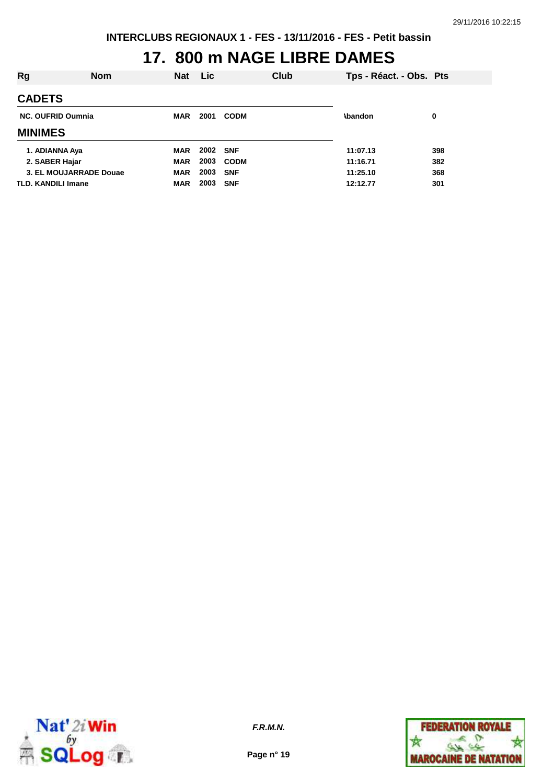# **17. 800 m NAGE LIBRE DAMES**

| Rg                        | <b>Nom</b>             | Nat        | <b>Lic</b> |             | Club | Tps - Réact. - Obs. Pts |     |
|---------------------------|------------------------|------------|------------|-------------|------|-------------------------|-----|
| <b>CADETS</b>             |                        |            |            |             |      |                         |     |
| <b>NC. OUFRID Oumnia</b>  |                        | <b>MAR</b> | 2001       | <b>CODM</b> |      | <b>\bandon</b>          | 0   |
| <b>MINIMES</b>            |                        |            |            |             |      |                         |     |
| 1. ADIANNA Aya            |                        | MAR        | 2002 SNF   |             |      | 11:07.13                | 398 |
| 2. SABER Hajar            |                        | <b>MAR</b> | 2003       | <b>CODM</b> |      | 11:16.71                | 382 |
|                           | 3. EL MOUJARRADE Douae | <b>MAR</b> | 2003       | <b>SNF</b>  |      | 11:25.10                | 368 |
| <b>TLD. KANDILI Imane</b> |                        | <b>MAR</b> | 2003       | <b>SNF</b>  |      | 12:12.77                | 301 |



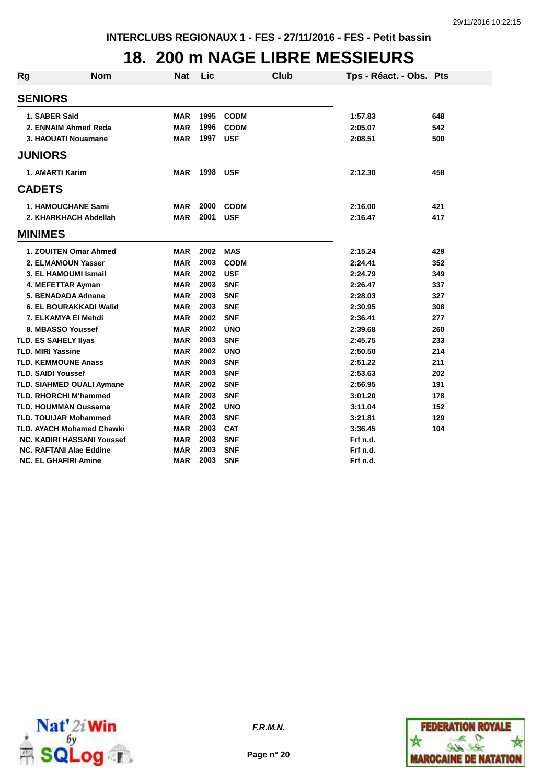### **18. 200 m NAGE LIBRE MESSIEURS**

| <b>Rg</b> | <b>Nom</b>                        | <b>Nat</b> | Lic  |             | <b>Club</b> | Tps - Réact. - Obs. Pts |     |
|-----------|-----------------------------------|------------|------|-------------|-------------|-------------------------|-----|
|           | <b>SENIORS</b>                    |            |      |             |             |                         |     |
|           | 1. SABER Said                     | <b>MAR</b> | 1995 | <b>CODM</b> |             | 1:57.83                 | 648 |
|           | 2. ENNAIM Ahmed Reda              | <b>MAR</b> | 1996 | <b>CODM</b> |             | 2:05.07                 | 542 |
|           | 3. HAOUATI Nouamane               | <b>MAR</b> | 1997 | <b>USF</b>  |             | 2:08.51                 | 500 |
|           | <b>JUNIORS</b>                    |            |      |             |             |                         |     |
|           | 1. AMARTI Karim                   | <b>MAR</b> | 1998 | <b>USF</b>  |             | 2:12.30                 | 458 |
|           | <b>CADETS</b>                     |            |      |             |             |                         |     |
|           | <b>1. HAMOUCHANE Sami</b>         | MAR        | 2000 | <b>CODM</b> |             | 2:16.00                 | 421 |
|           | 2. KHARKHACH Abdellah             | <b>MAR</b> | 2001 | <b>USF</b>  |             | 2:16.47                 | 417 |
|           | <b>MINIMES</b>                    |            |      |             |             |                         |     |
|           | 1. ZOUITEN Omar Ahmed             | <b>MAR</b> | 2002 | <b>MAS</b>  |             | 2:15.24                 | 429 |
|           | 2. ELMAMOUN Yasser                | <b>MAR</b> | 2003 | <b>CODM</b> |             | 2:24.41                 | 352 |
|           | 3. EL HAMOUMI Ismail              | <b>MAR</b> | 2002 | <b>USF</b>  |             | 2:24.79                 | 349 |
|           | 4. MEFETTAR Ayman                 | <b>MAR</b> | 2003 | <b>SNF</b>  |             | 2:26.47                 | 337 |
|           | 5. BENADADA Adnane                | <b>MAR</b> | 2003 | <b>SNF</b>  |             | 2:28.03                 | 327 |
|           | 6. EL BOURAKKADI Walid            | <b>MAR</b> | 2003 | <b>SNF</b>  |             | 2:30.95                 | 308 |
|           | 7. ELKAMYA El Mehdi               | <b>MAR</b> | 2002 | <b>SNF</b>  |             | 2:36.41                 | 277 |
|           | 8. MBASSO Youssef                 | <b>MAR</b> | 2002 | <b>UNO</b>  |             | 2:39.68                 | 260 |
|           | <b>TLD. ES SAHELY IIvas</b>       | <b>MAR</b> | 2003 | <b>SNF</b>  |             | 2:45.75                 | 233 |
|           | <b>TLD. MIRI Yassine</b>          | <b>MAR</b> | 2002 | <b>UNO</b>  |             | 2:50.50                 | 214 |
|           | <b>TLD. KEMMOUNE Anass</b>        | <b>MAR</b> | 2003 | <b>SNF</b>  |             | 2:51.22                 | 211 |
|           | <b>TLD. SAIDI Youssef</b>         | <b>MAR</b> | 2003 | <b>SNF</b>  |             | 2:53.63                 | 202 |
|           | TLD. SIAHMED OUALI Aymane         | <b>MAR</b> | 2002 | <b>SNF</b>  |             | 2:56.95                 | 191 |
|           | <b>TLD. RHORCHI M'hammed</b>      | <b>MAR</b> | 2003 | <b>SNF</b>  |             | 3:01.20                 | 178 |
|           | <b>TLD. HOUMMAN Oussama</b>       | <b>MAR</b> | 2002 | <b>UNO</b>  |             | 3:11.04                 | 152 |
|           | <b>TLD. TOUIJAR Mohammed</b>      | <b>MAR</b> | 2003 | <b>SNF</b>  |             | 3:21.81                 | 129 |
|           | <b>TLD. AYACH Mohamed Chawki</b>  | <b>MAR</b> | 2003 | <b>CAT</b>  |             | 3:36.45                 | 104 |
|           | <b>NC. KADIRI HASSANI Youssef</b> | <b>MAR</b> | 2003 | <b>SNF</b>  |             | Frf n.d.                |     |
|           | <b>NC. RAFTANI Alae Eddine</b>    | <b>MAR</b> | 2003 | <b>SNF</b>  |             | Frf n.d.                |     |
|           | <b>NC. EL GHAFIRI Amine</b>       | <b>MAR</b> | 2003 | <b>SNF</b>  |             | Frf n.d.                |     |



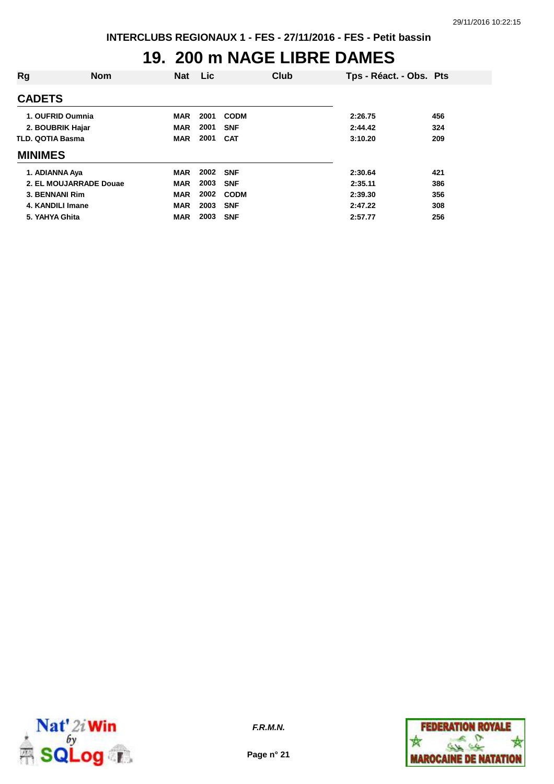### **19. 200 m NAGE LIBRE DAMES**

| Rg                      | <b>Nom</b>             | <b>Nat</b> | <b>Lic</b> | Club        | Tps - Réact. - Obs. Pts |     |
|-------------------------|------------------------|------------|------------|-------------|-------------------------|-----|
| <b>CADETS</b>           |                        |            |            |             |                         |     |
| 1. OUFRID Oumnia        |                        | <b>MAR</b> | 2001       | <b>CODM</b> | 2:26.75                 | 456 |
| 2. BOUBRIK Hajar        |                        | <b>MAR</b> | 2001       | <b>SNF</b>  | 2:44.42                 | 324 |
| <b>TLD. QOTIA Basma</b> |                        | <b>MAR</b> | 2001       | <b>CAT</b>  | 3:10.20                 | 209 |
| <b>MINIMES</b>          |                        |            |            |             |                         |     |
| 1. ADIANNA Aya          |                        | <b>MAR</b> | 2002 SNF   |             | 2:30.64                 | 421 |
|                         | 2. EL MOUJARRADE Douae | <b>MAR</b> | 2003       | <b>SNF</b>  | 2:35.11                 | 386 |
| 3. BENNANI Rim          |                        | <b>MAR</b> | 2002       | <b>CODM</b> | 2:39.30                 | 356 |
| 4. KANDILI Imane        |                        | <b>MAR</b> | 2003       | <b>SNF</b>  | 2:47.22                 | 308 |
| 5. YAHYA Ghita          |                        | <b>MAR</b> | 2003       | <b>SNF</b>  | 2:57.77                 | 256 |



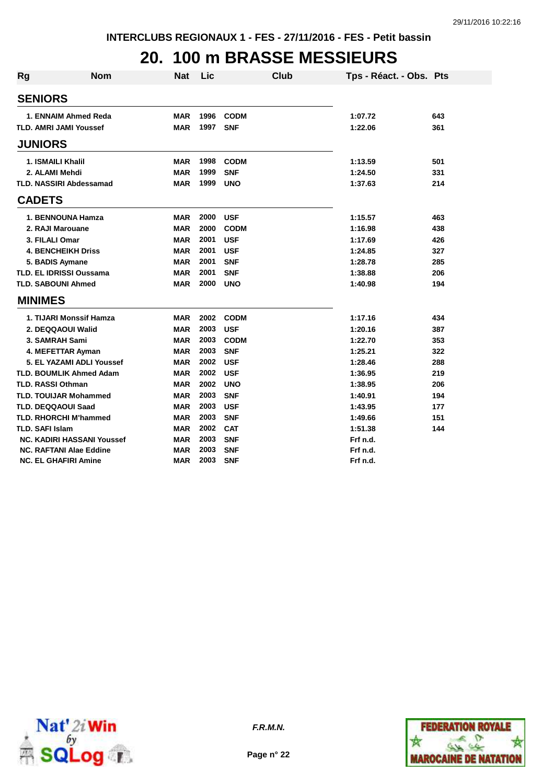### **20. 100 m BRASSE MESSIEURS**

| <b>Rg</b> | <b>Nom</b>                        | Nat        | Lic  | <b>Club</b> | Tps - Réact. - Obs. Pts |     |
|-----------|-----------------------------------|------------|------|-------------|-------------------------|-----|
|           | <b>SENIORS</b>                    |            |      |             |                         |     |
|           | 1. ENNAIM Ahmed Reda              | <b>MAR</b> | 1996 | <b>CODM</b> | 1:07.72                 | 643 |
|           | <b>TLD. AMRI JAMI Youssef</b>     | <b>MAR</b> | 1997 | <b>SNF</b>  | 1:22.06                 | 361 |
|           | <b>JUNIORS</b>                    |            |      |             |                         |     |
|           | <b>1. ISMAILI Khalil</b>          | <b>MAR</b> | 1998 | <b>CODM</b> | 1:13.59                 | 501 |
|           | 2. ALAMI Mehdi                    | <b>MAR</b> | 1999 | <b>SNF</b>  | 1:24.50                 | 331 |
|           | <b>TLD. NASSIRI Abdessamad</b>    | <b>MAR</b> | 1999 | <b>UNO</b>  | 1:37.63                 | 214 |
|           | <b>CADETS</b>                     |            |      |             |                         |     |
|           | 1. BENNOUNA Hamza                 | <b>MAR</b> | 2000 | <b>USF</b>  | 1:15.57                 | 463 |
|           | 2. RAJI Marouane                  | <b>MAR</b> | 2000 | <b>CODM</b> | 1:16.98                 | 438 |
|           | 3. FILALI Omar                    | <b>MAR</b> | 2001 | <b>USF</b>  | 1:17.69                 | 426 |
|           | <b>4. BENCHEIKH Driss</b>         | <b>MAR</b> | 2001 | <b>USF</b>  | 1:24.85                 | 327 |
|           | 5. BADIS Aymane                   | <b>MAR</b> | 2001 | <b>SNF</b>  | 1:28.78                 | 285 |
|           | <b>TLD. EL IDRISSI Oussama</b>    | <b>MAR</b> | 2001 | <b>SNF</b>  | 1:38.88                 | 206 |
|           | <b>TLD. SABOUNI Ahmed</b>         | <b>MAR</b> | 2000 | <b>UNO</b>  | 1:40.98                 | 194 |
|           | <b>MINIMES</b>                    |            |      |             |                         |     |
|           | 1. TIJARI Monssif Hamza           | <b>MAR</b> | 2002 | <b>CODM</b> | 1:17.16                 | 434 |
|           | 2. DEQQAOUI Walid                 | <b>MAR</b> | 2003 | <b>USF</b>  | 1:20.16                 | 387 |
|           | 3. SAMRAH Sami                    | <b>MAR</b> | 2003 | <b>CODM</b> | 1:22.70                 | 353 |
|           | 4. MEFETTAR Ayman                 | <b>MAR</b> | 2003 | <b>SNF</b>  | 1:25.21                 | 322 |
|           | 5. EL YAZAMI ADLI Youssef         | <b>MAR</b> | 2002 | <b>USF</b>  | 1:28.46                 | 288 |
|           | <b>TLD. BOUMLIK Ahmed Adam</b>    | <b>MAR</b> | 2002 | <b>USF</b>  | 1:36.95                 | 219 |
|           | <b>TLD. RASSI Othman</b>          | <b>MAR</b> | 2002 | <b>UNO</b>  | 1:38.95                 | 206 |
|           | <b>TLD. TOUIJAR Mohammed</b>      | <b>MAR</b> | 2003 | <b>SNF</b>  | 1:40.91                 | 194 |
|           | <b>TLD. DEQQAOUI Saad</b>         | <b>MAR</b> | 2003 | <b>USF</b>  | 1:43.95                 | 177 |
|           | <b>TLD. RHORCHI M'hammed</b>      | <b>MAR</b> | 2003 | <b>SNF</b>  | 1:49.66                 | 151 |
|           | <b>TLD. SAFI Islam</b>            | <b>MAR</b> | 2002 | <b>CAT</b>  | 1:51.38                 | 144 |
|           | <b>NC. KADIRI HASSANI Youssef</b> | <b>MAR</b> | 2003 | <b>SNF</b>  | Frf n.d.                |     |
|           | <b>NC. RAFTANI Alae Eddine</b>    | <b>MAR</b> | 2003 | <b>SNF</b>  | Frf n.d.                |     |
|           | <b>NC. EL GHAFIRI Amine</b>       | <b>MAR</b> | 2003 | <b>SNF</b>  | Frf n.d.                |     |



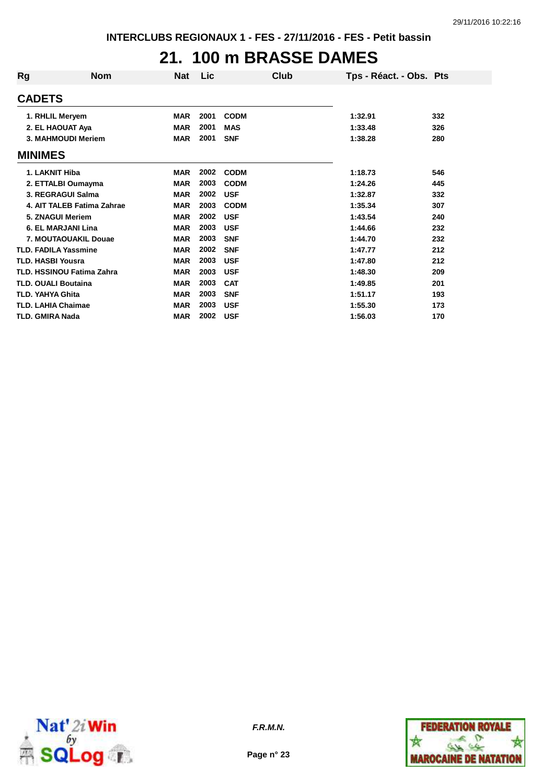### **21. 100 m BRASSE DAMES**

| Rg | <b>Nom</b>                       | <b>Nat</b> | Lic  | Club        | Tps - Réact. - Obs. Pts |     |
|----|----------------------------------|------------|------|-------------|-------------------------|-----|
|    | <b>CADETS</b>                    |            |      |             |                         |     |
|    | 1. RHLIL Meryem                  | <b>MAR</b> | 2001 | <b>CODM</b> | 1:32.91                 | 332 |
|    | 2. EL HAOUAT Aya                 | <b>MAR</b> | 2001 | <b>MAS</b>  | 1:33.48                 | 326 |
|    | 3. MAHMOUDI Meriem               | <b>MAR</b> | 2001 | <b>SNF</b>  | 1:38.28                 | 280 |
|    | <b>MINIMES</b>                   |            |      |             |                         |     |
|    | 1. LAKNIT Hiba                   | <b>MAR</b> | 2002 | <b>CODM</b> | 1:18.73                 | 546 |
|    | 2. ETTALBI Oumayma               | <b>MAR</b> | 2003 | <b>CODM</b> | 1:24.26                 | 445 |
|    | 3. REGRAGUI Salma                | <b>MAR</b> | 2002 | <b>USF</b>  | 1:32.87                 | 332 |
|    | 4. AIT TALEB Fatima Zahrae       | <b>MAR</b> | 2003 | <b>CODM</b> | 1:35.34                 | 307 |
|    | 5. ZNAGUI Meriem                 | <b>MAR</b> | 2002 | <b>USF</b>  | 1:43.54                 | 240 |
|    | 6. EL MARJANI Lina               | <b>MAR</b> | 2003 | <b>USF</b>  | 1:44.66                 | 232 |
|    | 7. MOUTAOUAKIL Douae             | <b>MAR</b> | 2003 | <b>SNF</b>  | 1:44.70                 | 232 |
|    | <b>TLD. FADILA Yassmine</b>      | <b>MAR</b> | 2002 | <b>SNF</b>  | 1:47.77                 | 212 |
|    | <b>TLD. HASBI Yousra</b>         | <b>MAR</b> | 2003 | <b>USF</b>  | 1:47.80                 | 212 |
|    | <b>TLD. HSSINOU Fatima Zahra</b> | <b>MAR</b> | 2003 | <b>USF</b>  | 1:48.30                 | 209 |
|    | <b>TLD. OUALI Boutaina</b>       | <b>MAR</b> | 2003 | <b>CAT</b>  | 1:49.85                 | 201 |
|    | <b>TLD. YAHYA Ghita</b>          | <b>MAR</b> | 2003 | <b>SNF</b>  | 1:51.17                 | 193 |
|    | <b>TLD. LAHIA Chaimae</b>        | <b>MAR</b> | 2003 | <b>USF</b>  | 1:55.30                 | 173 |
|    | TLD. GMIRA Nada                  | <b>MAR</b> | 2002 | <b>USF</b>  | 1:56.03                 | 170 |



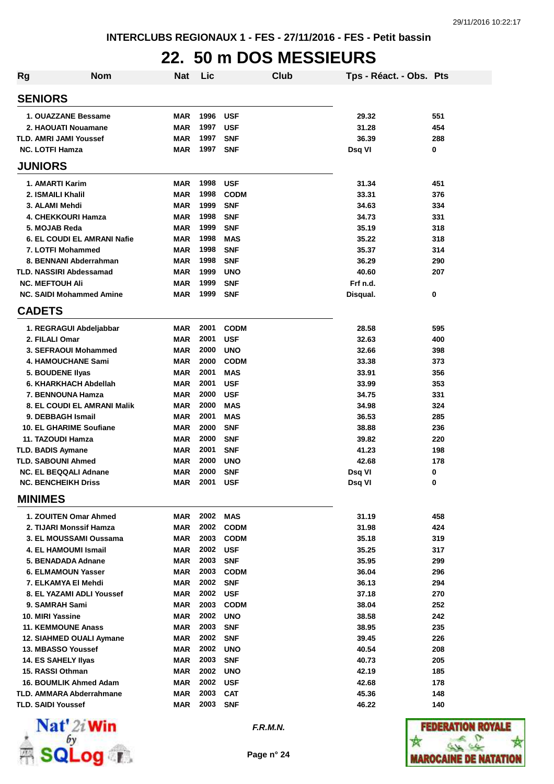# **22. 50 m DOS MESSIEURS**

| <b>Rg</b> | <b>Nom</b>                                            | <b>Nat</b>               | Lic          | <b>Club</b>              | Tps - Réact. - Obs. Pts |            |
|-----------|-------------------------------------------------------|--------------------------|--------------|--------------------------|-------------------------|------------|
|           | <b>SENIORS</b>                                        |                          |              |                          |                         |            |
|           | 1. OUAZZANE Bessame                                   | <b>MAR</b>               | 1996         | <b>USF</b>               | 29.32                   | 551        |
|           | 2. HAOUATI Nouamane                                   | <b>MAR</b>               | 1997         | <b>USF</b>               | 31.28                   | 454        |
|           | <b>TLD. AMRI JAMI Youssef</b>                         | <b>MAR</b>               | 1997         | <b>SNF</b>               | 36.39                   | 288        |
|           | <b>NC. LOTFI Hamza</b>                                | <b>MAR</b>               | 1997         | <b>SNF</b>               | Dsq VI                  | 0          |
|           | <b>JUNIORS</b>                                        |                          |              |                          |                         |            |
|           | 1. AMARTI Karim                                       | <b>MAR</b>               | 1998         | <b>USF</b>               | 31.34                   | 451        |
|           | 2. ISMAILI Khalil                                     | <b>MAR</b>               | 1998         | <b>CODM</b>              | 33.31                   | 376        |
|           | 3. ALAMI Mehdi                                        | <b>MAR</b>               | 1999         | <b>SNF</b>               | 34.63                   | 334        |
|           | 4. CHEKKOURI Hamza                                    | <b>MAR</b>               | 1998         | <b>SNF</b>               | 34.73                   | 331        |
|           | 5. MOJAB Reda                                         | <b>MAR</b>               | 1999         | <b>SNF</b>               | 35.19                   | 318        |
|           | <b>6. EL COUDI EL AMRANI Nafie</b>                    | <b>MAR</b>               | 1998         | <b>MAS</b>               | 35.22                   | 318        |
|           | 7. LOTFI Mohammed                                     | <b>MAR</b>               | 1998         | <b>SNF</b>               | 35.37                   | 314        |
|           | 8. BENNANI Abderrahman                                | <b>MAR</b>               | 1998         | <b>SNF</b>               | 36.29                   | 290        |
|           | <b>TLD. NASSIRI Abdessamad</b>                        | <b>MAR</b>               | 1999         | <b>UNO</b>               | 40.60                   | 207        |
|           | <b>NC. MEFTOUH Ali</b>                                | <b>MAR</b>               | 1999         | <b>SNF</b>               | Frf n.d.                |            |
|           | <b>NC. SAIDI Mohammed Amine</b>                       | <b>MAR</b>               | 1999         | <b>SNF</b>               | Disqual.                | 0          |
|           | <b>CADETS</b>                                         |                          |              |                          |                         |            |
|           | 1. REGRAGUI Abdeljabbar                               | <b>MAR</b>               | 2001         | <b>CODM</b>              | 28.58                   | 595        |
|           | 2. FILALI Omar                                        | <b>MAR</b>               | 2001         | <b>USF</b>               | 32.63                   | 400        |
|           | 3. SEFRAOUI Mohammed                                  | <b>MAR</b>               | 2000         | <b>UNO</b>               | 32.66                   | 398        |
|           | <b>4. HAMOUCHANE Sami</b>                             | <b>MAR</b>               | 2000         | <b>CODM</b>              | 33.38                   | 373        |
|           | 5. BOUDENE IIyas                                      | <b>MAR</b>               | 2001         | <b>MAS</b>               | 33.91                   | 356        |
|           | 6. KHARKHACH Abdellah                                 | <b>MAR</b>               | 2001         | <b>USF</b>               | 33.99                   | 353        |
|           | 7. BENNOUNA Hamza                                     | <b>MAR</b>               | 2000         | <b>USF</b>               | 34.75                   | 331        |
|           | <b>8. EL COUDI EL AMRANI Malik</b>                    | <b>MAR</b>               | 2000         | <b>MAS</b>               | 34.98                   | 324        |
|           | 9. DEBBAGH Ismail                                     | <b>MAR</b>               | 2001         | <b>MAS</b>               | 36.53                   | 285        |
|           | 10. EL GHARIME Soufiane                               | <b>MAR</b>               | 2000         | <b>SNF</b>               | 38.88                   | 236        |
|           | 11. TAZOUDI Hamza<br><b>TLD. BADIS Aymane</b>         | <b>MAR</b><br><b>MAR</b> | 2000<br>2001 | <b>SNF</b><br><b>SNF</b> | 39.82<br>41.23          | 220<br>198 |
|           | <b>TLD. SABOUNI Ahmed</b>                             | <b>MAR</b>               | 2000         | <b>UNO</b>               | 42.68                   | 178        |
|           | <b>NC. EL BEQQALI Adnane</b>                          | <b>MAR</b>               | 2000         | <b>SNF</b>               | Dsq VI                  | 0          |
|           | <b>NC. BENCHEIKH Driss</b>                            | <b>MAR</b>               | 2001         | <b>USF</b>               | Dsq VI                  | 0          |
|           | <b>MINIMES</b>                                        |                          |              |                          |                         |            |
|           | 1. ZOUITEN Omar Ahmed                                 | MAR                      |              | 2002 MAS                 | 31.19                   | 458        |
|           | 2. TIJARI Monssif Hamza                               | <b>MAR</b>               | 2002         | <b>CODM</b>              | 31.98                   | 424        |
|           | 3. EL MOUSSAMI Oussama                                | <b>MAR</b>               | 2003         | <b>CODM</b>              | 35.18                   | 319        |
|           | 4. EL HAMOUMI Ismail                                  | <b>MAR</b>               | 2002 USF     |                          | 35.25                   | 317        |
|           | 5. BENADADA Adnane                                    | <b>MAR</b>               | 2003         | <b>SNF</b>               | 35.95                   | 299        |
|           | <b>6. ELMAMOUN Yasser</b>                             | MAR                      | 2003         | <b>CODM</b>              | 36.04                   | 296        |
|           | 7. ELKAMYA El Mehdi                                   | MAR                      | 2002         | <b>SNF</b>               | 36.13                   | 294        |
|           | 8. EL YAZAMI ADLI Youssef                             | MAR                      | 2002 USF     |                          | 37.18                   | 270        |
|           | 9. SAMRAH Sami                                        | MAR                      |              | 2003 CODM                | 38.04                   | 252        |
|           | 10. MIRI Yassine                                      | MAR                      | 2002         | <b>UNO</b>               | 38.58                   | 242        |
|           | <b>11. KEMMOUNE Anass</b>                             | MAR                      | 2003         | <b>SNF</b>               | 38.95                   | 235        |
|           | 12. SIAHMED OUALI Aymane                              | MAR                      | 2002         | <b>SNF</b>               | 39.45                   | 226        |
|           | 13. MBASSO Youssef                                    | <b>MAR</b>               | 2002         | <b>UNO</b>               | 40.54                   | 208        |
|           | <b>14. ES SAHELY Ilyas</b>                            | MAR                      | 2003         | <b>SNF</b>               | 40.73                   | 205        |
|           | 15. RASSI Othman                                      | <b>MAR</b>               |              | 2002 UNO                 | 42.19                   | 185        |
|           | 16. BOUMLIK Ahmed Adam                                | <b>MAR</b>               | 2002         | <b>USF</b>               | 42.68                   | 178        |
|           | TLD. AMMARA Abderrahmane<br><b>TLD. SAIDI Youssef</b> | <b>MAR</b><br><b>MAR</b> | 2003<br>2003 | <b>CAT</b><br><b>SNF</b> | 45.36<br>46.22          | 148<br>140 |
|           |                                                       |                          |              |                          |                         |            |



**F.R.M.N.**

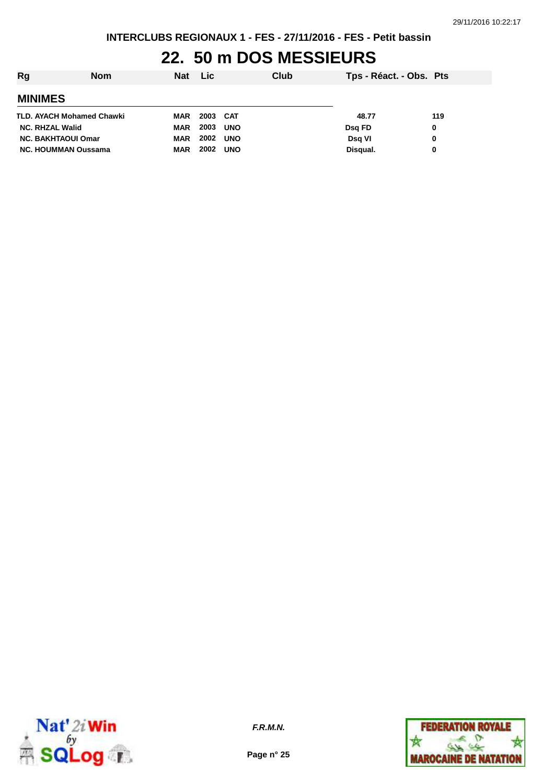**INTERCLUBS REGIONAUX 1 - FES - 27/11/2016 - FES - Petit bassin**

# **22. 50 m DOS MESSIEURS**

| Rg                               | Nom | <b>Nat</b> | Lic.     |            | Club | Tps - Réact. - Obs. Pts |     |
|----------------------------------|-----|------------|----------|------------|------|-------------------------|-----|
| <b>MINIMES</b>                   |     |            |          |            |      |                         |     |
| <b>TLD. AYACH Mohamed Chawki</b> |     | <b>MAR</b> | 2003 CAT |            |      | 48.77                   | 119 |
| <b>NC. RHZAL Walid</b>           |     | <b>MAR</b> | 2003     | <b>UNO</b> |      | Dsg FD                  | 0   |
| <b>NC. BAKHTAOUI Omar</b>        |     | <b>MAR</b> | 2002     | <b>UNO</b> |      | Dsg VI                  | 0   |
| <b>NC. HOUMMAN Oussama</b>       |     | <b>MAR</b> | 2002     | <b>UNO</b> |      | Disqual.                | 0   |



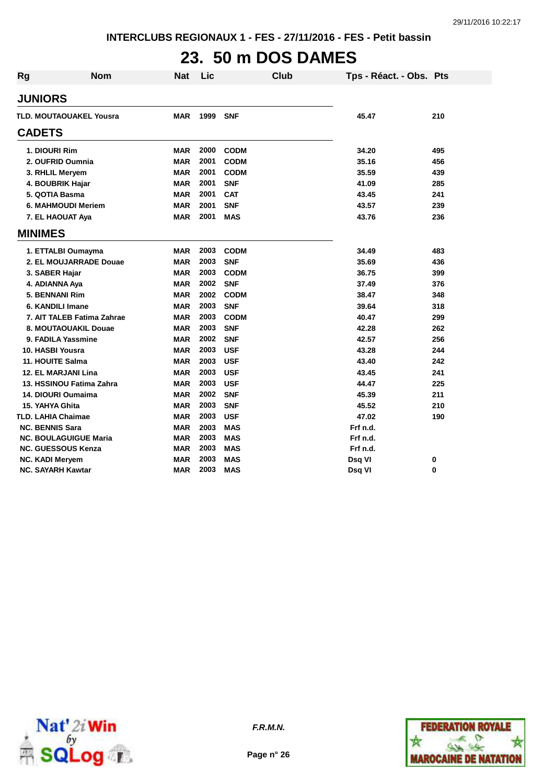# **23. 50 m DOS DAMES**

| <b>Rg</b>                    | <b>Nom</b>                 | <b>Nat</b> | Lic  | <b>Club</b> | Tps - Réact. - Obs. Pts |          |
|------------------------------|----------------------------|------------|------|-------------|-------------------------|----------|
| <b>JUNIORS</b>               |                            |            |      |             |                         |          |
|                              | TLD. MOUTAOUAKEL Yousra    | <b>MAR</b> | 1999 | <b>SNF</b>  | 45.47                   | 210      |
| <b>CADETS</b>                |                            |            |      |             |                         |          |
| 1. DIOURI Rim                |                            | <b>MAR</b> | 2000 | <b>CODM</b> | 34.20                   | 495      |
| 2. OUFRID Oumnia             |                            | <b>MAR</b> | 2001 | <b>CODM</b> | 35.16                   | 456      |
| 3. RHLIL Meryem              |                            | <b>MAR</b> | 2001 | <b>CODM</b> | 35.59                   | 439      |
| 4. BOUBRIK Hajar             |                            | <b>MAR</b> | 2001 | <b>SNF</b>  | 41.09                   | 285      |
| 5. QOTIA Basma               |                            | <b>MAR</b> | 2001 | <b>CAT</b>  | 43.45                   | 241      |
| <b>6. MAHMOUDI Meriem</b>    |                            | <b>MAR</b> | 2001 | <b>SNF</b>  | 43.57                   | 239      |
| 7. EL HAOUAT Aya             |                            | <b>MAR</b> | 2001 | <b>MAS</b>  | 43.76                   | 236      |
| <b>MINIMES</b>               |                            |            |      |             |                         |          |
| 1. ETTALBI Oumayma           |                            | <b>MAR</b> | 2003 | <b>CODM</b> | 34.49                   | 483      |
|                              | 2. EL MOUJARRADE Douae     | <b>MAR</b> | 2003 | <b>SNF</b>  | 35.69                   | 436      |
| 3. SABER Hajar               |                            | <b>MAR</b> | 2003 | <b>CODM</b> | 36.75                   | 399      |
| 4. ADIANNA Aya               |                            | <b>MAR</b> | 2002 | <b>SNF</b>  | 37.49                   | 376      |
| 5. BENNANI Rim               |                            | <b>MAR</b> | 2002 | <b>CODM</b> | 38.47                   | 348      |
| 6. KANDILI Imane             |                            | <b>MAR</b> | 2003 | <b>SNF</b>  | 39.64                   | 318      |
|                              | 7. AIT TALEB Fatima Zahrae | <b>MAR</b> | 2003 | <b>CODM</b> | 40.47                   | 299      |
|                              | 8. MOUTAOUAKIL Douae       | <b>MAR</b> | 2003 | <b>SNF</b>  | 42.28                   | 262      |
| 9. FADILA Yassmine           |                            | <b>MAR</b> | 2002 | <b>SNF</b>  | 42.57                   | 256      |
| 10. HASBI Yousra             |                            | <b>MAR</b> | 2003 | <b>USF</b>  | 43.28                   | 244      |
| 11. HOUITE Salma             |                            | <b>MAR</b> | 2003 | <b>USF</b>  | 43.40                   | 242      |
| 12. EL MARJANI Lina          |                            | <b>MAR</b> | 2003 | <b>USF</b>  | 43.45                   | 241      |
|                              | 13. HSSINOU Fatima Zahra   | <b>MAR</b> | 2003 | <b>USF</b>  | 44.47                   | 225      |
| 14. DIOURI Oumaima           |                            | <b>MAR</b> | 2002 | <b>SNF</b>  | 45.39                   | 211      |
| 15. YAHYA Ghita              |                            | <b>MAR</b> | 2003 | <b>SNF</b>  | 45.52                   | 210      |
| TLD. LAHIA Chaimae           |                            | <b>MAR</b> | 2003 | <b>USF</b>  | 47.02                   | 190      |
| <b>NC. BENNIS Sara</b>       |                            | <b>MAR</b> | 2003 | <b>MAS</b>  | Frf n.d.                |          |
| <b>NC. BOULAGUIGUE Maria</b> |                            | <b>MAR</b> | 2003 | <b>MAS</b>  | Frf n.d.                |          |
| <b>NC. GUESSOUS Kenza</b>    |                            | <b>MAR</b> | 2003 | <b>MAS</b>  | Frf n.d.                |          |
| <b>NC. KADI Meryem</b>       |                            | <b>MAR</b> | 2003 | <b>MAS</b>  | Dsq VI                  | 0        |
| <b>NC. SAYARH Kawtar</b>     |                            | <b>MAR</b> | 2003 | <b>MAS</b>  | Dsq VI                  | $\bf{0}$ |





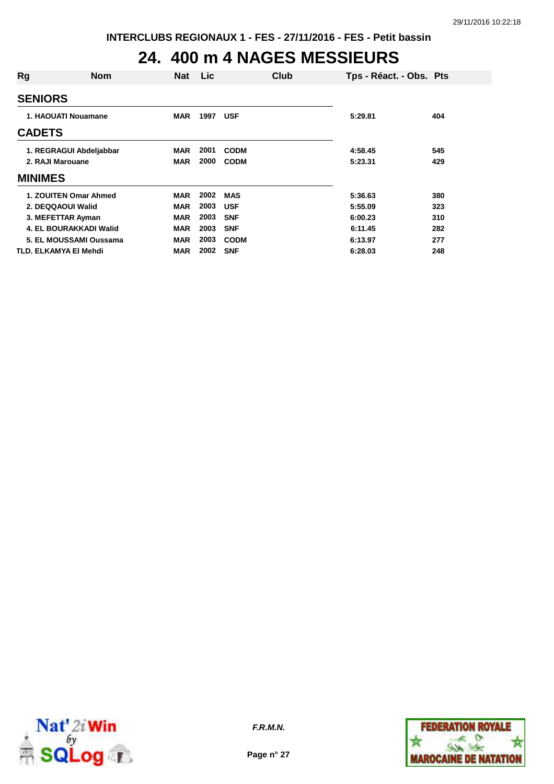# **24. 400 m 4 NAGES MESSIEURS**

| Rg               | <b>Nom</b>                    | <b>Nat</b> | Lic  | Club        | Tps - Réact. - Obs. Pts |     |
|------------------|-------------------------------|------------|------|-------------|-------------------------|-----|
| <b>SENIORS</b>   |                               |            |      |             |                         |     |
|                  | 1. HAOUATI Nouamane           | <b>MAR</b> | 1997 | <b>USF</b>  | 5:29.81                 | 404 |
| <b>CADETS</b>    |                               |            |      |             |                         |     |
|                  | 1. REGRAGUI Abdeljabbar       | <b>MAR</b> | 2001 | <b>CODM</b> | 4:58.45                 | 545 |
| 2. RAJI Marouane |                               | <b>MAR</b> | 2000 | <b>CODM</b> | 5:23.31                 | 429 |
| <b>MINIMES</b>   |                               |            |      |             |                         |     |
|                  | 1. ZOUITEN Omar Ahmed         | <b>MAR</b> | 2002 | <b>MAS</b>  | 5:36.63                 | 380 |
|                  | 2. DEQQAOUI Walid             | <b>MAR</b> | 2003 | <b>USF</b>  | 5:55.09                 | 323 |
|                  | 3. MEFETTAR Ayman             | <b>MAR</b> | 2003 | <b>SNF</b>  | 6:00.23                 | 310 |
|                  | <b>4. EL BOURAKKADI Walid</b> | <b>MAR</b> | 2003 | <b>SNF</b>  | 6:11.45                 | 282 |
|                  | 5. EL MOUSSAMI Oussama        | <b>MAR</b> | 2003 | <b>CODM</b> | 6:13.97                 | 277 |
|                  | TLD. ELKAMYA EI Mehdi         | <b>MAR</b> | 2002 | <b>SNF</b>  | 6:28.03                 | 248 |



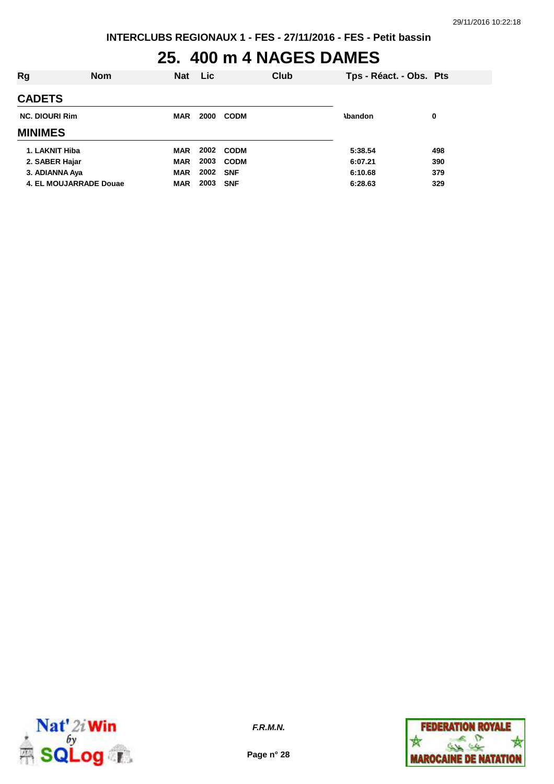# **25. 400 m 4 NAGES DAMES**

| Rg                     | <b>Nom</b> | <b>Nat</b> | Lic  |             | Club | Tps - Réact. - Obs. Pts |     |
|------------------------|------------|------------|------|-------------|------|-------------------------|-----|
| <b>CADETS</b>          |            |            |      |             |      |                         |     |
| <b>NC. DIOURI Rim</b>  |            | <b>MAR</b> | 2000 | <b>CODM</b> |      | <b>\bandon</b>          | 0   |
| <b>MINIMES</b>         |            |            |      |             |      |                         |     |
| 1. LAKNIT Hiba         |            | <b>MAR</b> | 2002 | <b>CODM</b> |      | 5:38.54                 | 498 |
| 2. SABER Hajar         |            | <b>MAR</b> | 2003 | <b>CODM</b> |      | 6:07.21                 | 390 |
| 3. ADIANNA Aya         |            | <b>MAR</b> | 2002 | <b>SNF</b>  |      | 6:10.68                 | 379 |
| 4. EL MOUJARRADE Douae |            | <b>MAR</b> | 2003 | <b>SNF</b>  |      | 6:28.63                 | 329 |



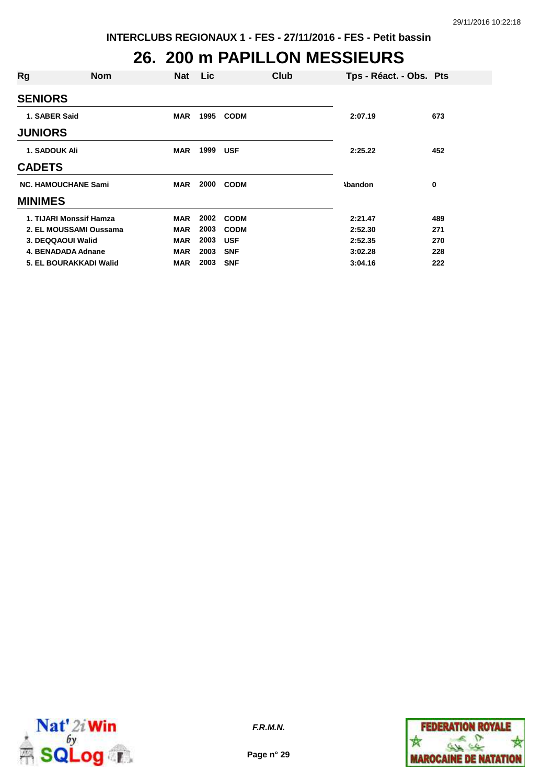#### **26. 200 m PAPILLON MESSIEURS**

| Rg                         | <b>Nom</b> | <b>Nat</b> | Lic  |             | Club | Tps - Réact. - Obs. Pts |     |
|----------------------------|------------|------------|------|-------------|------|-------------------------|-----|
| <b>SENIORS</b>             |            |            |      |             |      |                         |     |
| 1. SABER Said              |            | <b>MAR</b> | 1995 | <b>CODM</b> |      | 2:07.19                 | 673 |
| <b>JUNIORS</b>             |            |            |      |             |      |                         |     |
| <b>1. SADOUK Ali</b>       |            | <b>MAR</b> | 1999 | <b>USF</b>  |      | 2:25.22                 | 452 |
| <b>CADETS</b>              |            |            |      |             |      |                         |     |
| <b>NC. HAMOUCHANE Sami</b> |            | <b>MAR</b> | 2000 | <b>CODM</b> |      | <b>\bandon</b>          | 0   |
| <b>MINIMES</b>             |            |            |      |             |      |                         |     |
| 1. TIJARI Monssif Hamza    |            | <b>MAR</b> | 2002 | <b>CODM</b> |      | 2:21.47                 | 489 |
| 2. EL MOUSSAMI Oussama     |            | <b>MAR</b> | 2003 | <b>CODM</b> |      | 2:52.30                 | 271 |
| 3. DEQQAOUI Walid          |            | <b>MAR</b> | 2003 | <b>USF</b>  |      | 2:52.35                 | 270 |
| 4. BENADADA Adnane         |            | <b>MAR</b> | 2003 | <b>SNF</b>  |      | 3:02.28                 | 228 |
| 5. EL BOURAKKADI Walid     |            | <b>MAR</b> | 2003 | <b>SNF</b>  |      | 3:04.16                 | 222 |



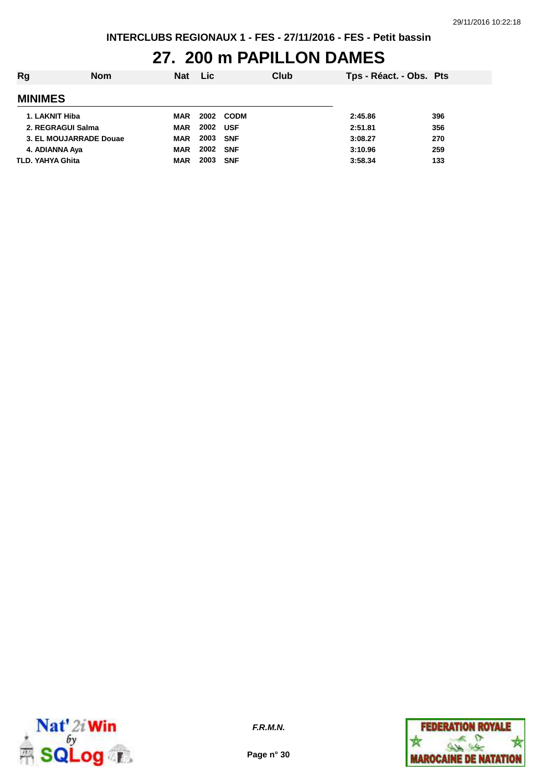#### **27. 200 m PAPILLON DAMES**

| Rg                      | <b>Nom</b> | <b>Nat</b> | <b>Lic</b> |            | Club | Tps - Réact. - Obs. Pts |     |
|-------------------------|------------|------------|------------|------------|------|-------------------------|-----|
| <b>MINIMES</b>          |            |            |            |            |      |                         |     |
| 1. LAKNIT Hiba          |            | <b>MAR</b> |            | 2002 CODM  |      | 2:45.86                 | 396 |
| 2. REGRAGUI Salma       |            | <b>MAR</b> | 2002 USF   |            |      | 2:51.81                 | 356 |
| 3. EL MOUJARRADE Douae  |            | <b>MAR</b> | 2003 SNF   |            |      | 3:08.27                 | 270 |
| 4. ADIANNA Aya          |            | <b>MAR</b> | 2002 SNF   |            |      | 3:10.96                 | 259 |
| <b>TLD. YAHYA Ghita</b> |            | <b>MAR</b> | 2003       | <b>SNF</b> |      | 3:58.34                 | 133 |



**F.R.M.N.**

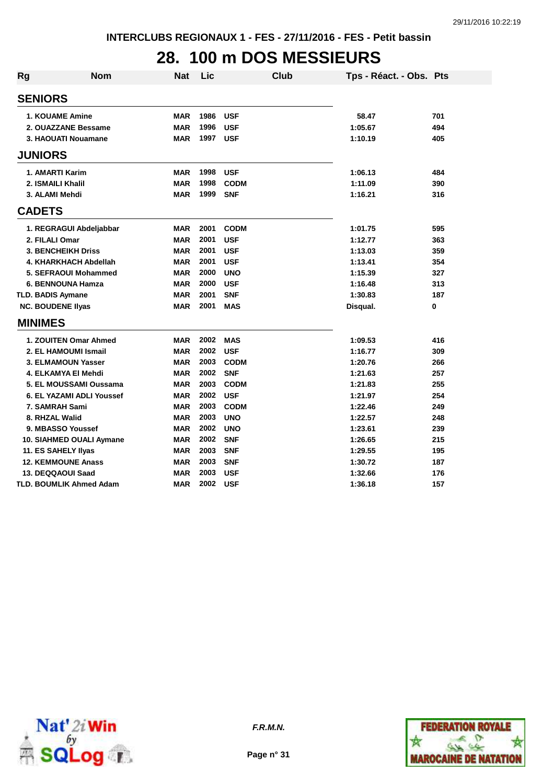# **28. 100 m DOS MESSIEURS**

| <b>Rg</b>                | <b>Nom</b>                       | <b>Nat</b> | Lic  | Club        | Tps - Réact. - Obs. Pts |     |
|--------------------------|----------------------------------|------------|------|-------------|-------------------------|-----|
| <b>SENIORS</b>           |                                  |            |      |             |                         |     |
|                          | <b>1. KOUAME Amine</b>           | <b>MAR</b> | 1986 | <b>USF</b>  | 58.47                   | 701 |
|                          | 2. OUAZZANE Bessame              | <b>MAR</b> | 1996 | <b>USF</b>  | 1:05.67                 | 494 |
|                          | 3. HAOUATI Nouamane              | <b>MAR</b> | 1997 | <b>USF</b>  | 1:10.19                 | 405 |
| <b>JUNIORS</b>           |                                  |            |      |             |                         |     |
|                          | 1. AMARTI Karim                  | <b>MAR</b> | 1998 | <b>USF</b>  | 1:06.13                 | 484 |
|                          | 2. ISMAILI Khalil                | <b>MAR</b> | 1998 | <b>CODM</b> | 1:11.09                 | 390 |
| 3. ALAMI Mehdi           |                                  | <b>MAR</b> | 1999 | <b>SNF</b>  | 1:16.21                 | 316 |
| <b>CADETS</b>            |                                  |            |      |             |                         |     |
|                          | 1. REGRAGUI Abdeljabbar          | <b>MAR</b> | 2001 | <b>CODM</b> | 1:01.75                 | 595 |
| 2. FILALI Omar           |                                  | <b>MAR</b> | 2001 | <b>USF</b>  | 1:12.77                 | 363 |
|                          | <b>3. BENCHEIKH Driss</b>        | <b>MAR</b> | 2001 | <b>USF</b>  | 1:13.03                 | 359 |
|                          | 4. KHARKHACH Abdellah            | <b>MAR</b> | 2001 | <b>USF</b>  | 1:13.41                 | 354 |
|                          | 5. SEFRAOUI Mohammed             | <b>MAR</b> | 2000 | <b>UNO</b>  | 1:15.39                 | 327 |
|                          | 6. BENNOUNA Hamza                | <b>MAR</b> | 2000 | <b>USF</b>  | 1:16.48                 | 313 |
| <b>TLD. BADIS Aymane</b> |                                  | <b>MAR</b> | 2001 | <b>SNF</b>  | 1:30.83                 | 187 |
| <b>NC. BOUDENE Ilyas</b> |                                  | <b>MAR</b> | 2001 | <b>MAS</b>  | Disqual.                | 0   |
| <b>MINIMES</b>           |                                  |            |      |             |                         |     |
|                          | 1. ZOUITEN Omar Ahmed            | <b>MAR</b> | 2002 | <b>MAS</b>  | 1:09.53                 | 416 |
|                          | 2. EL HAMOUMI Ismail             | <b>MAR</b> | 2002 | <b>USF</b>  | 1:16.77                 | 309 |
|                          | 3. ELMAMOUN Yasser               | <b>MAR</b> | 2003 | <b>CODM</b> | 1:20.76                 | 266 |
|                          | 4. ELKAMYA El Mehdi              | <b>MAR</b> | 2002 | <b>SNF</b>  | 1:21.63                 | 257 |
|                          | 5. EL MOUSSAMI Oussama           | <b>MAR</b> | 2003 | <b>CODM</b> | 1:21.83                 | 255 |
|                          | <b>6. EL YAZAMI ADLI Youssef</b> | <b>MAR</b> | 2002 | <b>USF</b>  | 1:21.97                 | 254 |
|                          | 7. SAMRAH Sami                   | <b>MAR</b> | 2003 | <b>CODM</b> | 1:22.46                 | 249 |
| 8. RHZAL Walid           |                                  | <b>MAR</b> | 2003 | <b>UNO</b>  | 1:22.57                 | 248 |
|                          | 9. MBASSO Youssef                | <b>MAR</b> | 2002 | <b>UNO</b>  | 1:23.61                 | 239 |
|                          | 10. SIAHMED OUALI Aymane         | <b>MAR</b> | 2002 | <b>SNF</b>  | 1:26.65                 | 215 |
|                          | 11. ES SAHELY Ilyas              | <b>MAR</b> | 2003 | <b>SNF</b>  | 1:29.55                 | 195 |
|                          | <b>12. KEMMOUNE Anass</b>        | <b>MAR</b> | 2003 | <b>SNF</b>  | 1:30.72                 | 187 |
|                          | 13. DEQQAOUI Saad                | <b>MAR</b> | 2003 | <b>USF</b>  | 1:32.66                 | 176 |
|                          | TLD. BOUMLIK Ahmed Adam          | <b>MAR</b> | 2002 | <b>USF</b>  | 1:36.18                 | 157 |



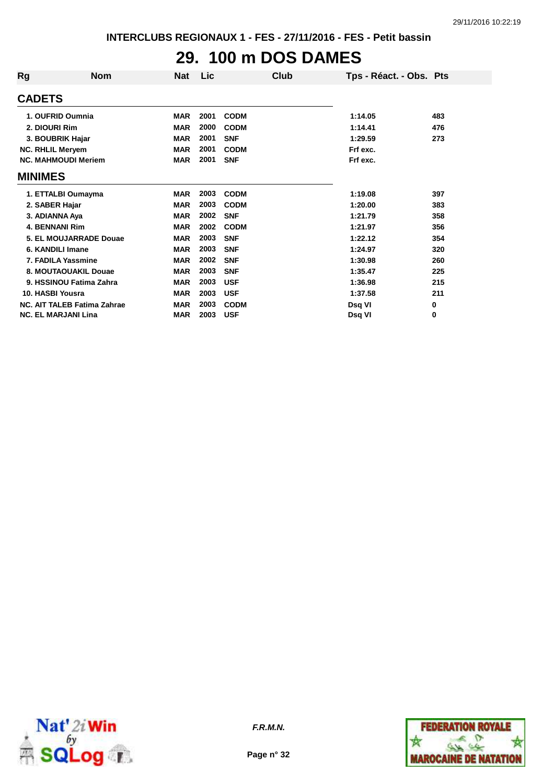# **29. 100 m DOS DAMES**

| Rg                      | <b>Nom</b>                         | <b>Nat</b> | Lic  | Club        | Tps - Réact. - Obs. Pts |     |
|-------------------------|------------------------------------|------------|------|-------------|-------------------------|-----|
| <b>CADETS</b>           |                                    |            |      |             |                         |     |
|                         | 1. OUFRID Oumnia                   | <b>MAR</b> | 2001 | <b>CODM</b> | 1:14.05                 | 483 |
| 2. DIOURI Rim           |                                    | <b>MAR</b> | 2000 | <b>CODM</b> | 1:14.41                 | 476 |
|                         | 3. BOUBRIK Hajar                   | <b>MAR</b> | 2001 | <b>SNF</b>  | 1:29.59                 | 273 |
| <b>NC. RHLIL Meryem</b> |                                    | <b>MAR</b> | 2001 | <b>CODM</b> | Frf exc.                |     |
|                         | <b>NC. MAHMOUDI Meriem</b>         | <b>MAR</b> | 2001 | <b>SNF</b>  | Frf exc.                |     |
| <b>MINIMES</b>          |                                    |            |      |             |                         |     |
|                         | 1. ETTALBI Oumayma                 | <b>MAR</b> | 2003 | <b>CODM</b> | 1:19.08                 | 397 |
| 2. SABER Hajar          |                                    | <b>MAR</b> | 2003 | <b>CODM</b> | 1:20.00                 | 383 |
| 3. ADIANNA Aya          |                                    | <b>MAR</b> | 2002 | <b>SNF</b>  | 1:21.79                 | 358 |
| <b>4. BENNANI Rim</b>   |                                    | <b>MAR</b> | 2002 | <b>CODM</b> | 1:21.97                 | 356 |
|                         | 5. EL MOUJARRADE Douae             | <b>MAR</b> | 2003 | <b>SNF</b>  | 1:22.12                 | 354 |
|                         | 6. KANDILI Imane                   | <b>MAR</b> | 2003 | <b>SNF</b>  | 1:24.97                 | 320 |
|                         | 7. FADILA Yassmine                 | <b>MAR</b> | 2002 | <b>SNF</b>  | 1:30.98                 | 260 |
|                         | 8. MOUTAOUAKIL Douae               | <b>MAR</b> | 2003 | <b>SNF</b>  | 1:35.47                 | 225 |
|                         | 9. HSSINOU Fatima Zahra            | <b>MAR</b> | 2003 | <b>USF</b>  | 1:36.98                 | 215 |
| 10. HASBI Yousra        |                                    | <b>MAR</b> | 2003 | <b>USF</b>  | 1:37.58                 | 211 |
|                         | <b>NC. AIT TALEB Fatima Zahrae</b> | <b>MAR</b> | 2003 | <b>CODM</b> | Dsq VI                  | 0   |
|                         | <b>NC. EL MARJANI Lina</b>         | <b>MAR</b> | 2003 | <b>USF</b>  | Dsg VI                  | 0   |



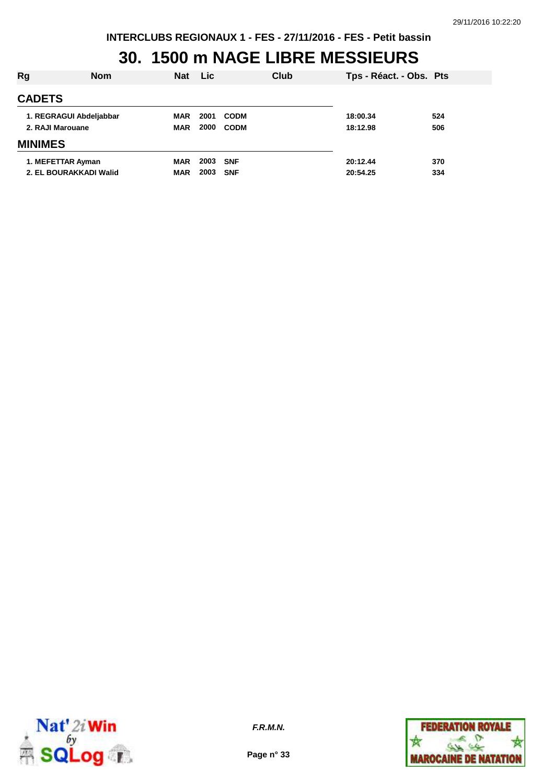### **30. 1500 m NAGE LIBRE MESSIEURS**

| Rg               | <b>Nom</b>              | <b>Nat</b> | <b>Lic</b> | Club        | Tps - Réact. - Obs. Pts |     |
|------------------|-------------------------|------------|------------|-------------|-------------------------|-----|
| <b>CADETS</b>    |                         |            |            |             |                         |     |
|                  | 1. REGRAGUI Abdeljabbar | MAR        | 2001       | <b>CODM</b> | 18:00.34                | 524 |
| 2. RAJI Marouane |                         | <b>MAR</b> | 2000       | <b>CODM</b> | 18:12.98                | 506 |
| <b>MINIMES</b>   |                         |            |            |             |                         |     |
|                  | 1. MEFETTAR Ayman       | <b>MAR</b> | 2003       | <b>SNF</b>  | 20:12.44                | 370 |
|                  | 2. EL BOURAKKADI Walid  | <b>MAR</b> | 2003       | <b>SNF</b>  | 20:54.25                | 334 |



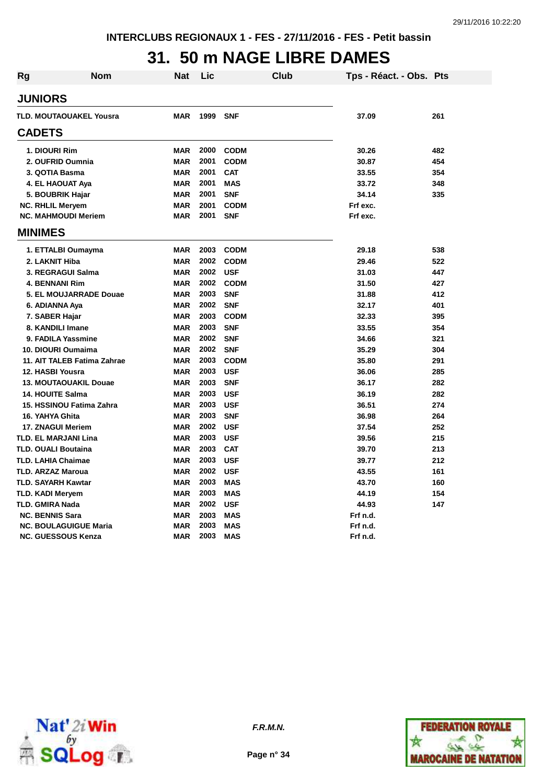### **31. 50 m NAGE LIBRE DAMES**

| <b>Rg</b> | <b>Nom</b>                     | Nat        | Lic  | Club        | Tps - Réact. - Obs. Pts |     |
|-----------|--------------------------------|------------|------|-------------|-------------------------|-----|
|           | <b>JUNIORS</b>                 |            |      |             |                         |     |
|           | <b>TLD. MOUTAOUAKEL Yousra</b> | <b>MAR</b> | 1999 | <b>SNF</b>  | 37.09                   | 261 |
|           | <b>CADETS</b>                  |            |      |             |                         |     |
|           | 1. DIOURI Rim                  | <b>MAR</b> | 2000 | <b>CODM</b> | 30.26                   | 482 |
|           | 2. OUFRID Oumnia               | <b>MAR</b> | 2001 | <b>CODM</b> | 30.87                   | 454 |
|           | 3. QOTIA Basma                 | <b>MAR</b> | 2001 | <b>CAT</b>  | 33.55                   | 354 |
|           | 4. EL HAOUAT Aya               | <b>MAR</b> | 2001 | <b>MAS</b>  | 33.72                   | 348 |
|           | 5. BOUBRIK Hajar               | <b>MAR</b> | 2001 | <b>SNF</b>  | 34.14                   | 335 |
|           | <b>NC. RHLIL Meryem</b>        | <b>MAR</b> | 2001 | <b>CODM</b> | Frf exc.                |     |
|           | <b>NC. MAHMOUDI Meriem</b>     | <b>MAR</b> | 2001 | <b>SNF</b>  | Frf exc.                |     |
|           | <b>MINIMES</b>                 |            |      |             |                         |     |
|           | 1. ETTALBI Oumayma             | <b>MAR</b> | 2003 | <b>CODM</b> | 29.18                   | 538 |
|           | 2. LAKNIT Hiba                 | <b>MAR</b> | 2002 | <b>CODM</b> | 29.46                   | 522 |
|           | 3. REGRAGUI Salma              | <b>MAR</b> | 2002 | <b>USF</b>  | 31.03                   | 447 |
|           | <b>4. BENNANI Rim</b>          | <b>MAR</b> | 2002 | <b>CODM</b> | 31.50                   | 427 |
|           | 5. EL MOUJARRADE Douae         | <b>MAR</b> | 2003 | <b>SNF</b>  | 31.88                   | 412 |
|           | 6. ADIANNA Aya                 | <b>MAR</b> | 2002 | <b>SNF</b>  | 32.17                   | 401 |
|           | 7. SABER Hajar                 | <b>MAR</b> | 2003 | <b>CODM</b> | 32.33                   | 395 |
|           | 8. KANDILI Imane               | <b>MAR</b> | 2003 | <b>SNF</b>  | 33.55                   | 354 |
|           | 9. FADILA Yassmine             | <b>MAR</b> | 2002 | <b>SNF</b>  | 34.66                   | 321 |
|           | 10. DIOURI Oumaima             | <b>MAR</b> | 2002 | <b>SNF</b>  | 35.29                   | 304 |
|           | 11. AIT TALEB Fatima Zahrae    | <b>MAR</b> | 2003 | <b>CODM</b> | 35.80                   | 291 |
|           | 12. HASBI Yousra               | <b>MAR</b> | 2003 | <b>USF</b>  | 36.06                   | 285 |
|           | <b>13. MOUTAOUAKIL Douae</b>   | <b>MAR</b> | 2003 | <b>SNF</b>  | 36.17                   | 282 |
|           | <b>14. HOUITE Salma</b>        | <b>MAR</b> | 2003 | <b>USF</b>  | 36.19                   | 282 |
|           | 15. HSSINOU Fatima Zahra       | <b>MAR</b> | 2003 | <b>USF</b>  | 36.51                   | 274 |
|           | 16. YAHYA Ghita                | <b>MAR</b> | 2003 | <b>SNF</b>  | 36.98                   | 264 |
|           | 17. ZNAGUI Meriem              | <b>MAR</b> | 2002 | <b>USF</b>  | 37.54                   | 252 |
|           | <b>TLD. EL MARJANI Lina</b>    | <b>MAR</b> | 2003 | <b>USF</b>  | 39.56                   | 215 |
|           | <b>TLD. OUALI Boutaina</b>     | <b>MAR</b> | 2003 | <b>CAT</b>  | 39.70                   | 213 |
|           | <b>TLD. LAHIA Chaimae</b>      | <b>MAR</b> | 2003 | <b>USF</b>  | 39.77                   | 212 |
|           | <b>TLD. ARZAZ Maroua</b>       | <b>MAR</b> | 2002 | <b>USF</b>  | 43.55                   | 161 |
|           | <b>TLD. SAYARH Kawtar</b>      | <b>MAR</b> | 2003 | <b>MAS</b>  | 43.70                   | 160 |
|           | <b>TLD. KADI Meryem</b>        | <b>MAR</b> | 2003 | <b>MAS</b>  | 44.19                   | 154 |
|           | <b>TLD. GMIRA Nada</b>         | <b>MAR</b> | 2002 | <b>USF</b>  | 44.93                   | 147 |
|           | <b>NC. BENNIS Sara</b>         | <b>MAR</b> | 2003 | <b>MAS</b>  | Frf n.d.                |     |
|           | <b>NC. BOULAGUIGUE Maria</b>   | <b>MAR</b> | 2003 | <b>MAS</b>  | Frf n.d.                |     |
|           | <b>NC. GUESSOUS Kenza</b>      | <b>MAR</b> | 2003 | <b>MAS</b>  | Frf n.d.                |     |



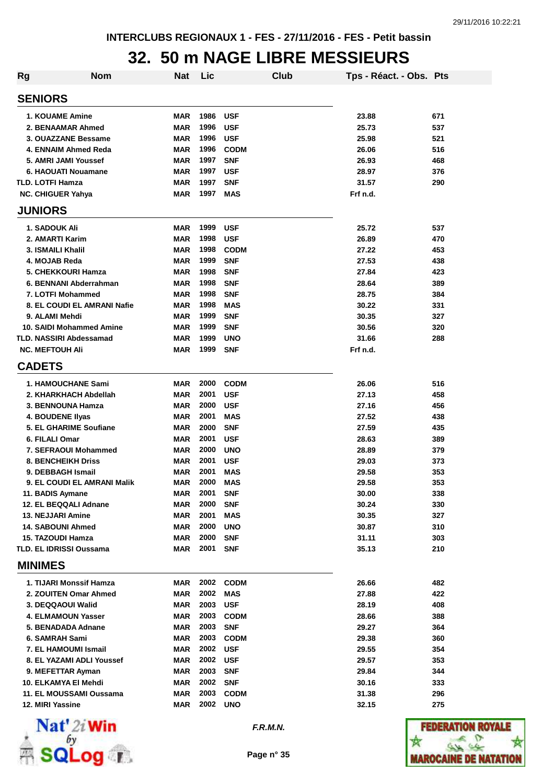### **32. 50 m NAGE LIBRE MESSIEURS**

| <b>Rg</b>                                           | <b>Nom</b> | <b>Nat</b>        | Lic          |                          | Club | Tps - Réact. - Obs. Pts |            |
|-----------------------------------------------------|------------|-------------------|--------------|--------------------------|------|-------------------------|------------|
| <b>SENIORS</b>                                      |            |                   |              |                          |      |                         |            |
| <b>1. KOUAME Amine</b>                              |            | <b>MAR</b>        | 1986         | <b>USF</b>               |      | 23.88                   | 671        |
| 2. BENAAMAR Ahmed                                   |            | <b>MAR</b>        | 1996         | <b>USF</b>               |      | 25.73                   | 537        |
| 3. OUAZZANE Bessame                                 |            | <b>MAR</b>        | 1996         | <b>USF</b>               |      | 25.98                   | 521        |
| 4. ENNAIM Ahmed Reda                                |            | <b>MAR</b>        | 1996         | <b>CODM</b>              |      | 26.06                   | 516        |
| 5. AMRI JAMI Youssef                                |            | <b>MAR</b>        | 1997         | <b>SNF</b>               |      | 26.93                   | 468        |
| 6. HAOUATI Nouamane                                 |            | <b>MAR</b>        | 1997         | <b>USF</b>               |      | 28.97                   | 376        |
| <b>TLD. LOTFI Hamza</b>                             |            | <b>MAR</b>        | 1997         | <b>SNF</b>               |      | 31.57                   | 290        |
| <b>NC. CHIGUER Yahya</b>                            |            | <b>MAR</b>        | 1997         | <b>MAS</b>               |      | Frf n.d.                |            |
| <b>JUNIORS</b>                                      |            |                   |              |                          |      |                         |            |
| 1. SADOUK Ali                                       |            | <b>MAR</b>        | 1999         | <b>USF</b>               |      | 25.72                   | 537        |
| 2. AMARTI Karim                                     |            | <b>MAR</b>        | 1998         | <b>USF</b>               |      | 26.89                   | 470        |
| <b>3. ISMAILI Khalil</b>                            |            | <b>MAR</b>        | 1998         | <b>CODM</b>              |      | 27.22                   | 453        |
| 4. MOJAB Reda                                       |            | <b>MAR</b>        | 1999         | <b>SNF</b>               |      | 27.53                   | 438        |
| 5. CHEKKOURI Hamza                                  |            | <b>MAR</b>        | 1998         | <b>SNF</b>               |      | 27.84                   | 423        |
| 6. BENNANI Abderrahman                              |            | MAR               | 1998         | <b>SNF</b>               |      | 28.64                   | 389        |
| 7. LOTFI Mohammed                                   |            | <b>MAR</b>        | 1998         | <b>SNF</b>               |      | 28.75                   | 384        |
| 8. EL COUDI EL AMRANI Nafie                         |            | MAR               | 1998         | <b>MAS</b>               |      | 30.22                   | 331        |
| 9. ALAMI Mehdi                                      |            | <b>MAR</b>        | 1999         | <b>SNF</b>               |      | 30.35                   | 327        |
| 10. SAIDI Mohammed Amine                            |            | MAR               | 1999         | <b>SNF</b>               |      | 30.56                   | 320        |
| <b>TLD. NASSIRI Abdessamad</b>                      |            | <b>MAR</b>        | 1999         | <b>UNO</b>               |      | 31.66                   | 288        |
| <b>NC. MEFTOUH Ali</b>                              |            | <b>MAR</b>        | 1999         | <b>SNF</b>               |      | Frf n.d.                |            |
| <b>CADETS</b>                                       |            |                   |              |                          |      |                         |            |
| <b>1. HAMOUCHANE Sami</b>                           |            | <b>MAR</b>        | 2000         | <b>CODM</b>              |      | 26.06                   | 516        |
| 2. KHARKHACH Abdellah                               |            | <b>MAR</b>        | 2001         | <b>USF</b>               |      | 27.13                   | 458        |
| 3. BENNOUNA Hamza                                   |            | <b>MAR</b>        | 2000         | <b>USF</b>               |      | 27.16                   | 456        |
| <b>4. BOUDENE Ilyas</b>                             |            | <b>MAR</b>        | 2001         | <b>MAS</b>               |      | 27.52                   | 438        |
| 5. EL GHARIME Soufiane                              |            | <b>MAR</b>        | 2000         | <b>SNF</b>               |      | 27.59                   | 435        |
| 6. FILALI Omar                                      |            | <b>MAR</b>        | 2001         | <b>USF</b>               |      | 28.63                   | 389        |
| 7. SEFRAOUI Mohammed                                |            | <b>MAR</b>        | 2000         | <b>UNO</b>               |      | 28.89                   | 379        |
| <b>8. BENCHEIKH Driss</b>                           |            | <b>MAR</b>        | 2001         | <b>USF</b>               |      | 29.03                   | 373        |
| 9. DEBBAGH Ismail                                   |            | <b>MAR</b>        | 2001         | <b>MAS</b>               |      | 29.58                   | 353        |
| 9. EL COUDI EL AMRANI Malik                         |            | <b>MAR</b>        | 2000         | <b>MAS</b>               |      | 29.58                   | 353        |
| 11. BADIS Aymane                                    |            | MAR               | 2001         | <b>SNF</b>               |      | 30.00                   | 338        |
| 12. EL BEQQALI Adnane                               |            | MAR               | 2000         | <b>SNF</b>               |      | 30.24                   | 330        |
| <b>13. NEJJARI Amine</b>                            |            | <b>MAR</b>        | 2001         | <b>MAS</b>               |      | 30.35                   | 327        |
| <b>14. SABOUNI Ahmed</b>                            |            | <b>MAR</b>        | 2000         | <b>UNO</b>               |      | 30.87                   | 310        |
| 15. TAZOUDI Hamza<br><b>TLD. EL IDRISSI Oussama</b> |            | <b>MAR</b><br>MAR | 2000<br>2001 | <b>SNF</b><br><b>SNF</b> |      | 31.11<br>35.13          | 303<br>210 |
| <b>MINIMES</b>                                      |            |                   |              |                          |      |                         |            |
| 1. TIJARI Monssif Hamza                             |            | MAR               |              | 2002 CODM                |      | 26.66                   | 482        |
| 2. ZOUITEN Omar Ahmed                               |            | <b>MAR</b>        | 2002         | <b>MAS</b>               |      | 27.88                   | 422        |
| 3. DEQQAOUI Walid                                   |            | MAR               | 2003         | <b>USF</b>               |      | 28.19                   | 408        |
| <b>4. ELMAMOUN Yasser</b>                           |            | <b>MAR</b>        | 2003         | <b>CODM</b>              |      | 28.66                   | 388        |
| 5. BENADADA Adnane                                  |            | <b>MAR</b>        | 2003         | <b>SNF</b>               |      | 29.27                   | 364        |
| 6. SAMRAH Sami                                      |            | MAR               | 2003         | <b>CODM</b>              |      | 29.38                   | 360        |
| 7. EL HAMOUMI Ismail                                |            | MAR               | 2002         | <b>USF</b>               |      | 29.55                   | 354        |
| 8. EL YAZAMI ADLI Youssef                           |            | MAR               | 2002         | <b>USF</b>               |      | 29.57                   | 353        |
| 9. MEFETTAR Ayman                                   |            | MAR               | 2003         | <b>SNF</b>               |      | 29.84                   | 344        |
| 10. ELKAMYA El Mehdi                                |            | MAR               | 2002         | <b>SNF</b>               |      | 30.16                   | 333        |
| 11. EL MOUSSAMI Oussama                             |            | <b>MAR</b>        | 2003         | <b>CODM</b>              |      | 31.38                   | 296        |
| 12. MIRI Yassine                                    |            | MAR               | 2002         | <b>UNO</b>               |      | 32.15                   | 275        |
|                                                     |            |                   |              |                          |      |                         |            |